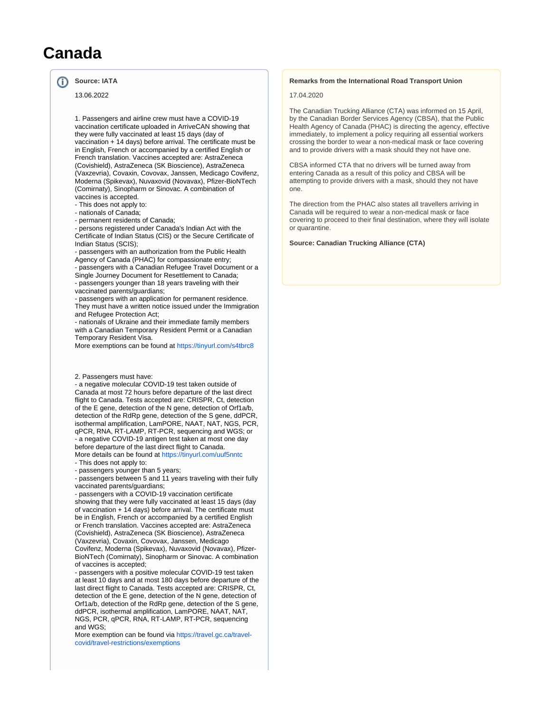# **Canada**

#### **Source: IATA** ന

13.06.2022

1. Passengers and airline crew must have a COVID-19 vaccination certificate uploaded in ArriveCAN showing that they were fully vaccinated at least 15 days (day of vaccination + 14 days) before arrival. The certificate must be in English, French or accompanied by a certified English or French translation. Vaccines accepted are: AstraZeneca (Covishield), AstraZeneca (SK Bioscience), AstraZeneca (Vaxzevria), Covaxin, Covovax, Janssen, Medicago Covifenz, Moderna (Spikevax), Nuvaxovid (Novavax), Pfizer-BioNTech (Comirnaty), Sinopharm or Sinovac. A combination of vaccines is accepted.

- This does not apply to:
- nationals of Canada;
- permanent residents of Canada;

- persons registered under Canada's Indian Act with the Certificate of Indian Status (CIS) or the Secure Certificate of Indian Status (SCIS);

- passengers with an authorization from the Public Health Agency of Canada (PHAC) for compassionate entry;

- passengers with a Canadian Refugee Travel Document or a Single Journey Document for Resettlement to Canada;

- passengers younger than 18 years traveling with their vaccinated parents/guardians;

- passengers with an application for permanent residence. They must have a written notice issued under the Immigration and Refugee Protection Act;

- nationals of Ukraine and their immediate family members with a Canadian Temporary Resident Permit or a Canadian Temporary Resident Visa.

More exemptions can be found at <https://tinyurl.com/s4tbrc8>

#### 2. Passengers must have:

- a negative molecular COVID-19 test taken outside of Canada at most 72 hours before departure of the last direct flight to Canada. Tests accepted are: CRISPR, Ct, detection of the E gene, detection of the N gene, detection of Orf1a/b, detection of the RdRp gene, detection of the S gene, ddPCR, isothermal amplification, LamPORE, NAAT, NAT, NGS, PCR, qPCR, RNA, RT-LAMP, RT-PCR, sequencing and WGS; or - a negative COVID-19 antigen test taken at most one day before departure of the last direct flight to Canada. More details can be found at <https://tinyurl.com/uuf5nntc>

- This does not apply to:

- passengers younger than 5 years;

- passengers between 5 and 11 years traveling with their fully vaccinated parents/guardians;

- passengers with a COVID-19 vaccination certificate showing that they were fully vaccinated at least 15 days (day of vaccination + 14 days) before arrival. The certificate must be in English, French or accompanied by a certified English or French translation. Vaccines accepted are: AstraZeneca (Covishield), AstraZeneca (SK Bioscience), AstraZeneca (Vaxzevria), Covaxin, Covovax, Janssen, Medicago Covifenz, Moderna (Spikevax), Nuvaxovid (Novavax), Pfizer-BioNTech (Comirnaty), Sinopharm or Sinovac. A combination

of vaccines is accepted; - passengers with a positive molecular COVID-19 test taken at least 10 days and at most 180 days before departure of the last direct flight to Canada. Tests accepted are: CRISPR, Ct, detection of the E gene, detection of the N gene, detection of Orf1a/b, detection of the RdRp gene, detection of the S gene, ddPCR, isothermal amplification, LamPORE, NAAT, NAT, NGS, PCR, qPCR, RNA, RT-LAMP, RT-PCR, sequencing and WGS;

More exemption can be found via [https://travel.gc.ca/travel](https://travel.gc.ca/travel-covid/travel-restrictions/exemptions)[covid/travel-restrictions/exemptions](https://travel.gc.ca/travel-covid/travel-restrictions/exemptions)

#### **Remarks from the International Road Transport Union**

17.04.2020

The Canadian Trucking Alliance (CTA) was informed on 15 April, by the Canadian Border Services Agency (CBSA), that the Public Health Agency of Canada (PHAC) is directing the agency, effective immediately, to implement a policy requiring all essential workers crossing the border to wear a non-medical mask or face covering and to provide drivers with a mask should they not have one.

CBSA informed CTA that no drivers will be turned away from entering Canada as a result of this policy and CBSA will be attempting to provide drivers with a mask, should they not have one.

The direction from the PHAC also states all travellers arriving in Canada will be required to wear a non-medical mask or face covering to proceed to their final destination, where they will isolate or quarantine.

**Source: Canadian Trucking Alliance (CTA)**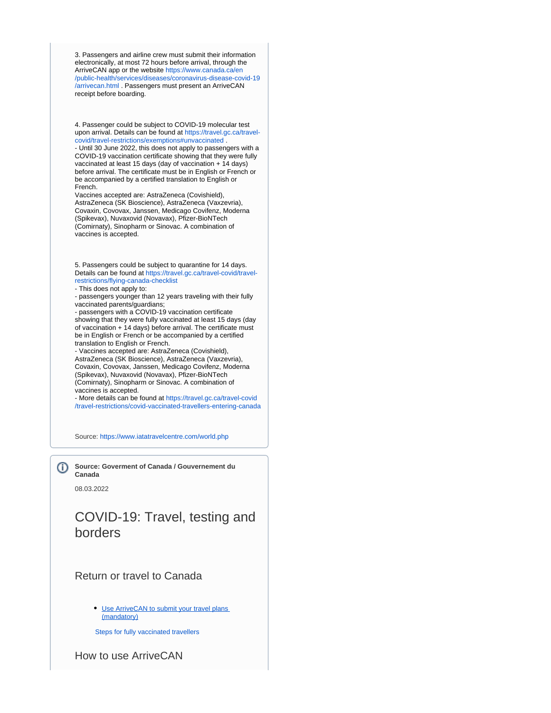3. Passengers and airline crew must submit their information electronically, at most 72 hours before arrival, through the ArriveCAN app or the website [https://www.canada.ca/en](https://www.canada.ca/en/public-health/services/diseases/coronavirus-disease-covid-19/arrivecan.html) [/public-health/services/diseases/coronavirus-disease-covid-19](https://www.canada.ca/en/public-health/services/diseases/coronavirus-disease-covid-19/arrivecan.html) [/arrivecan.html](https://www.canada.ca/en/public-health/services/diseases/coronavirus-disease-covid-19/arrivecan.html) . Passengers must present an ArriveCAN receipt before boarding.

4. Passenger could be subject to COVID-19 molecular test upon arrival. Details can be found at [https://travel.gc.ca/travel](https://travel.gc.ca/travel-covid/travel-restrictions/exemptions#unvaccinated)[covid/travel-restrictions/exemptions#unvaccinated](https://travel.gc.ca/travel-covid/travel-restrictions/exemptions#unvaccinated) .

- Until 30 June 2022, this does not apply to passengers with a COVID-19 vaccination certificate showing that they were fully vaccinated at least 15 days (day of vaccination + 14 days) before arrival. The certificate must be in English or French or be accompanied by a certified translation to English or French.

Vaccines accepted are: AstraZeneca (Covishield), AstraZeneca (SK Bioscience), AstraZeneca (Vaxzevria), Covaxin, Covovax, Janssen, Medicago Covifenz, Moderna (Spikevax), Nuvaxovid (Novavax), Pfizer-BioNTech (Comirnaty), Sinopharm or Sinovac. A combination of vaccines is accepted.

5. Passengers could be subject to quarantine for 14 days. Details can be found at [https://travel.gc.ca/travel-covid/travel](https://travel.gc.ca/travel-covid/travel-restrictions/flying-canada-checklist)[restrictions/flying-canada-checklist](https://travel.gc.ca/travel-covid/travel-restrictions/flying-canada-checklist)

- This does not apply to:

- passengers younger than 12 years traveling with their fully vaccinated parents/guardians;

- passengers with a COVID-19 vaccination certificate showing that they were fully vaccinated at least 15 days (day of vaccination + 14 days) before arrival. The certificate must be in English or French or be accompanied by a certified translation to English or French.

- Vaccines accepted are: AstraZeneca (Covishield), AstraZeneca (SK Bioscience), AstraZeneca (Vaxzevria), Covaxin, Covovax, Janssen, Medicago Covifenz, Moderna (Spikevax), Nuvaxovid (Novavax), Pfizer-BioNTech (Comirnaty), Sinopharm or Sinovac. A combination of vaccines is accepted.

- More details can be found at [https://travel.gc.ca/travel-covid](https://travel.gc.ca/travel-covid/travel-restrictions/covid-vaccinated-travellers-entering-canada) [/travel-restrictions/covid-vaccinated-travellers-entering-canada](https://travel.gc.ca/travel-covid/travel-restrictions/covid-vaccinated-travellers-entering-canada)

Source:<https://www.iatatravelcentre.com/world.php>

**Source: Goverment of Canada / Gouvernement du**  G) **Canada**

08.03.2022

## COVID-19: Travel, testing and borders

## Return or travel to Canada

[Use ArriveCAN to submit your travel plans](https://www.canada.ca/en/public-health/services/diseases/coronavirus-disease-covid-19/arrivecan.html)  [\(mandatory\)](https://www.canada.ca/en/public-health/services/diseases/coronavirus-disease-covid-19/arrivecan.html)

[Steps for fully vaccinated travellers](https://travel.gc.ca/travel-covid/travel-restrictions/covid-vaccinated-travellers-entering-canada)

How to use ArriveCAN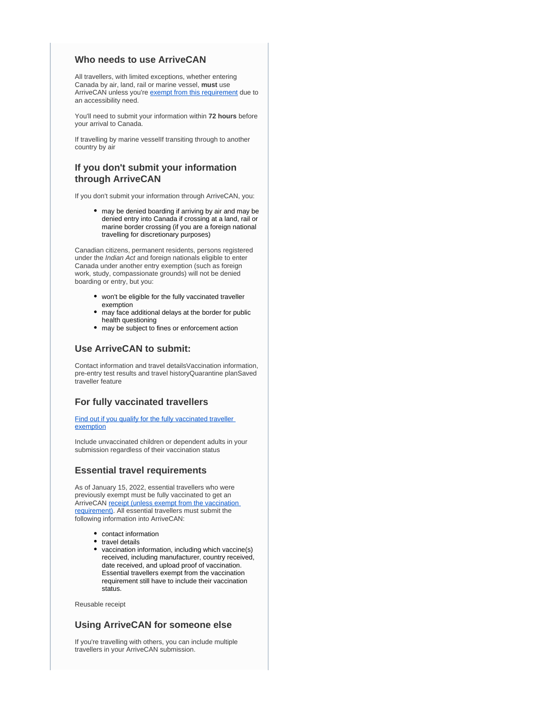#### **Who needs to use ArriveCAN**

All travellers, with limited exceptions, whether entering Canada by air, land, rail or marine vessel, **must** use ArriveCAN unless you're [exempt from this requirement](https://www.canada.ca/en/public-health/services/diseases/coronavirus-disease-covid-19/arrivecan/help.html#exceptions) due to an accessibility need.

You'll need to submit your information within **72 hours** before your arrival to Canada.

If travelling by marine vessellf transiting through to another country by air

### **If you don't submit your information through ArriveCAN**

If you don't submit your information through ArriveCAN, you:

• may be denied boarding if arriving by air and may be denied entry into Canada if crossing at a land, rail or marine border crossing (if you are a foreign national travelling for discretionary purposes)

Canadian citizens, permanent residents, persons registered under the Indian Act and foreign nationals eligible to enter Canada under another entry exemption (such as foreign work, study, compassionate grounds) will not be denied boarding or entry, but you:

- won't be eligible for the fully vaccinated traveller exemption
- may face additional delays at the border for public health questioning
- may be subject to fines or enforcement action

## **Use ArriveCAN to submit:**

Contact information and travel detailsVaccination information, pre-entry test results and travel historyQuarantine planSaved traveller feature

#### **For fully vaccinated travellers**

[Find out if you qualify for the fully vaccinated traveller](https://travel.gc.ca/travel-covid/travel-restrictions/covid-vaccinated-travellers-entering-canada#determine-fully)  [exemption](https://travel.gc.ca/travel-covid/travel-restrictions/covid-vaccinated-travellers-entering-canada#determine-fully)

Include unvaccinated children or dependent adults in your submission regardless of their vaccination status

## **Essential travel requirements**

As of January 15, 2022, essential travellers who were previously exempt must be fully vaccinated to get an ArriveCAN receipt (unless exempt from the vaccination [requirement\).](https://travel.gc.ca/travel-covid/travel-restrictions/exemptions) All essential travellers must submit the following information into ArriveCAN:

- contact information
- travel details
- vaccination information, including which vaccine(s) received, including manufacturer, country received, date received, and upload proof of vaccination. Essential travellers exempt from the vaccination requirement still have to include their vaccination status.

Reusable receipt

#### **Using ArriveCAN for someone else**

If you're travelling with others, you can include multiple travellers in your ArriveCAN submission.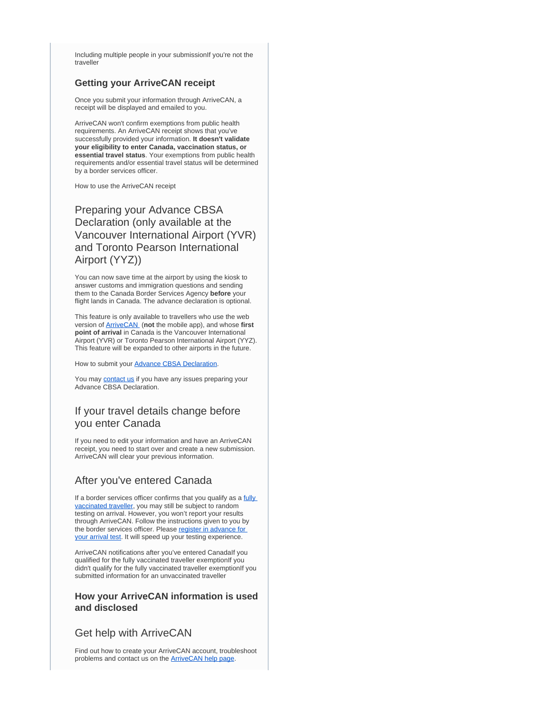Including multiple people in your submissionIf you're not the traveller

### **Getting your ArriveCAN receipt**

Once you submit your information through ArriveCAN, a receipt will be displayed and emailed to you.

ArriveCAN won't confirm exemptions from public health requirements. An ArriveCAN receipt shows that you've successfully provided your information. **It doesn't validate your eligibility to enter Canada, vaccination status, or essential travel status**. Your exemptions from public health requirements and/or essential travel status will be determined by a border services officer.

How to use the ArriveCAN receipt

## Preparing your Advance CBSA Declaration (only available at the Vancouver International Airport (YVR) and Toronto Pearson International Airport (YYZ))

You can now save time at the airport by using the kiosk to answer customs and immigration questions and sending them to the Canada Border Services Agency **before** your flight lands in Canada. The advance declaration is optional.

This feature is only available to travellers who use the web version of [ArriveCAN](https://www.canada.ca/en/public-health/services/diseases/coronavirus-disease-covid-19/arrivecan/contact-us.html#advance-declaration) (**not** the mobile app), and whose **first point of arrival** in Canada is the Vancouver International Airport (YVR) or Toronto Pearson International Airport (YYZ). This feature will be expanded to other airports in the future.

How to submit your [Advance CBSA Declaration](https://www.cbsa-asfc.gc.ca/services/border-tech-frontiere/declare-before-avant-eng.html).

You may **[contact us](https://www.canada.ca/en/public-health/services/diseases/coronavirus-disease-covid-19/arrivecan/contact-us.html#advance-declaration)** if you have any issues preparing your Advance CBSA Declaration.

## If your travel details change before you enter Canada

If you need to edit your information and have an ArriveCAN receipt, you need to start over and create a new submission. ArriveCAN will clear your previous information.

## After you've entered Canada

If a border services officer confirms that you qualify as a fully [vaccinated traveller,](https://travel.gc.ca/travel-covid/travel-restrictions/covid-vaccinated-travellers-entering-canada) you may still be subject to random testing on arrival. However, you won't report your results through ArriveCAN. Follow the instructions given to you by the border services officer. Please register in advance for [your arrival test.](https://travel.gc.ca/travel-covid/travel-restrictions/arrival-testing-providers) It will speed up your testing experience.

ArriveCAN notifications after you've entered CanadaIf you qualified for the fully vaccinated traveller exemptionIf you didn't qualify for the fully vaccinated traveller exemptionIf you submitted information for an unvaccinated traveller

### **How your ArriveCAN information is used and disclosed**

## Get help with ArriveCAN

Find out how to create your ArriveCAN account, troubleshoot problems and contact us on the [ArriveCAN help page](https://www.canada.ca/en/public-health/services/diseases/coronavirus-disease-covid-19/arrivecan/help.html).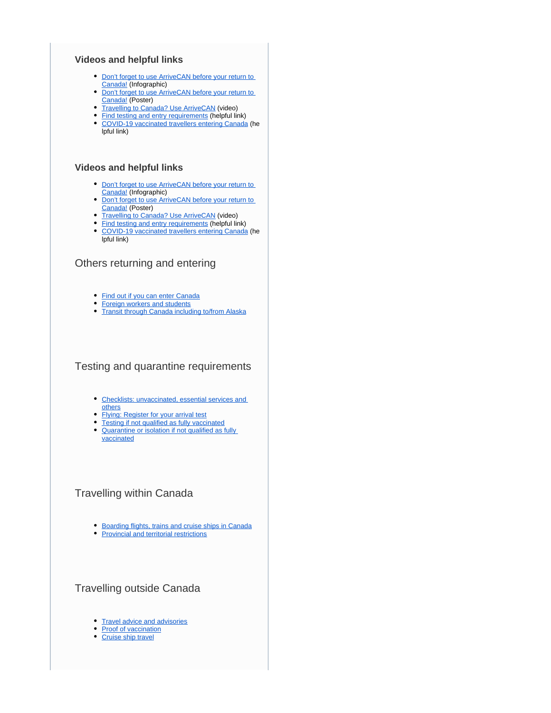#### **Videos and helpful links**

- [Don't forget to use ArriveCAN before your return to](https://www.canada.ca/en/public-health/services/diseases/coronavirus-disease-covid-19/arrivecan/use-arrivecan-before-your-return-to-canada-infographic.html)  [Canada!](https://www.canada.ca/en/public-health/services/diseases/coronavirus-disease-covid-19/arrivecan/use-arrivecan-before-your-return-to-canada-infographic.html) (Infographic)
- [Don't forget to use ArriveCAN before your return to](https://www.canada.ca/en/public-health/services/diseases/coronavirus-disease-covid-19/arrivecan/use-arrivecan-before-your-return-to-canada-poster.html)  [Canada!](https://www.canada.ca/en/public-health/services/diseases/coronavirus-disease-covid-19/arrivecan/use-arrivecan-before-your-return-to-canada-poster.html) (Poster)
- [Travelling to Canada? Use ArriveCAN](https://www.canada.ca/en/public-health/services/video/arrivecan.html) (video)
- [Find testing and entry requirements](https://travel.gc.ca/travel-covid/travel-restrictions/exemptions) (helpful link)
- [COVID-19 vaccinated travellers entering Canada](https://travel.gc.ca/travel-covid/travel-restrictions/covid-vaccinated-travellers-entering-canada) (he lpful link)

#### **Videos and helpful links**

- Don't forget to use ArriveCAN before your return to [Canada!](https://www.canada.ca/en/public-health/services/diseases/coronavirus-disease-covid-19/arrivecan/use-arrivecan-before-your-return-to-canada-infographic.html) (Infographic)
- [Don't forget to use ArriveCAN before your return to](https://www.canada.ca/en/public-health/services/diseases/coronavirus-disease-covid-19/arrivecan/use-arrivecan-before-your-return-to-canada-poster.html)  [Canada!](https://www.canada.ca/en/public-health/services/diseases/coronavirus-disease-covid-19/arrivecan/use-arrivecan-before-your-return-to-canada-poster.html) (Poster)
- [Travelling to Canada? Use ArriveCAN](https://www.canada.ca/en/public-health/services/video/arrivecan.html) (video)
- [Find testing and entry requirements](https://travel.gc.ca/travel-covid/travel-restrictions/exemptions) (helpful link)
- [COVID-19 vaccinated travellers entering Canada](https://travel.gc.ca/travel-covid/travel-restrictions/covid-vaccinated-travellers-entering-canada) (he lpful link)

## Others returning and entering

- [Find out if you can enter Canada](https://travel.gc.ca/travel-covid/travel-restrictions/wizard-start)
- [Foreign workers and students](https://travel.gc.ca/travel-covid/travel-restrictions/visitors-workers-students)
- **•** [Transit through Canada including to/from Alaska](https://travel.gc.ca/travel-covid/travel-restrictions/border)

## Testing and quarantine requirements

- [Checklists: unvaccinated, essential services and](https://travel.gc.ca/travel-covid/travel-restrictions/exemptions)  [others](https://travel.gc.ca/travel-covid/travel-restrictions/exemptions)
- [Flying: Register for your arrival test](https://travel.gc.ca/travel-covid/travel-restrictions/arrival-testing-providers)
- [Testing if not qualified as fully vaccinated](https://travel.gc.ca/travel-covid/travel-restrictions/flying-canada-checklist/covid-19-testing-travellers-coming-into-canada)
- [Quarantine or isolation if not qualified as fully](https://travel.gc.ca/travel-covid/travel-restrictions/isolation)  [vaccinated](https://travel.gc.ca/travel-covid/travel-restrictions/isolation)

## Travelling within Canada

- [Boarding flights, trains and cruise ships in Canada](https://travel.gc.ca/travel-covid/travel-restrictions/domestic-travel)
- [Provincial and territorial restrictions](https://travel.gc.ca/travel-covid/travel-restrictions/provinces)

## Travelling outside Canada

- [Travel advice and advisories](https://travel.gc.ca/travelling/advisories)
- [Proof of vaccination](https://www.canada.ca/en/public-health/services/diseases/coronavirus-disease-covid-19/vaccines/life-after-vaccination/vaccine-proof.html)
- [Cruise ship travel](https://travel.gc.ca/travel-covid/travel-restrictions/cruise)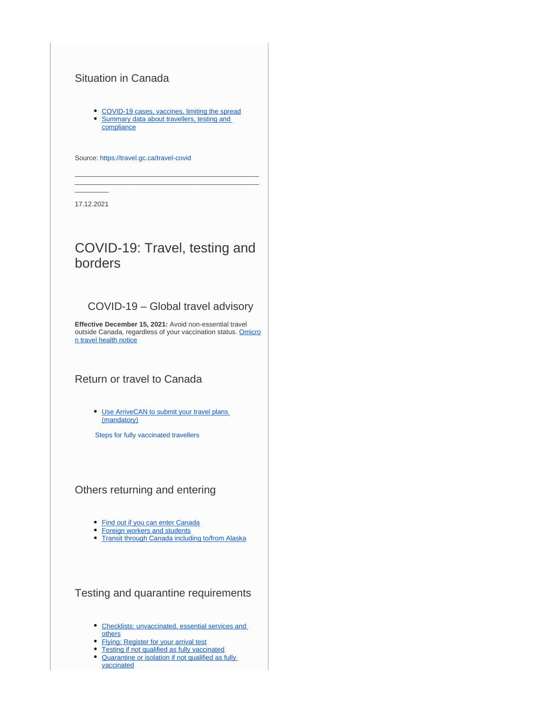## Situation in Canada

• [COVID-19 cases, vaccines, limiting the spread](https://www.canada.ca/en/public-health/services/diseases/coronavirus-disease-covid-19.html)

\_\_\_\_\_\_\_\_\_\_\_\_\_\_\_\_\_\_\_\_\_\_\_\_\_\_\_\_\_\_\_\_\_\_\_\_\_\_\_\_\_\_\_\_\_\_\_\_\_ \_\_\_\_\_\_\_\_\_\_\_\_\_\_\_\_\_\_\_\_\_\_\_\_\_\_\_\_\_\_\_\_\_\_\_\_\_\_\_\_\_\_\_\_\_\_\_\_\_

[Summary data about travellers, testing and](https://www.canada.ca/en/public-health/services/diseases/coronavirus-disease-covid-19/testing-screening-contact-tracing/summary-data-travellers.html)  [compliance](https://www.canada.ca/en/public-health/services/diseases/coronavirus-disease-covid-19/testing-screening-contact-tracing/summary-data-travellers.html)

Source:<https://travel.gc.ca/travel-covid>

 $\overline{\phantom{a}}$ 17.12.2021

## COVID-19: Travel, testing and borders

COVID-19 – Global travel advisory

**Effective December 15, 2021:** Avoid non-essential travel outside Canada, regardless of your vaccination status. [Omicro](https://travel.gc.ca/travelling/health-safety/travel-health-notices/226) [n travel health notice](https://travel.gc.ca/travelling/health-safety/travel-health-notices/226)

## Return or travel to Canada

[Use ArriveCAN to submit your travel plans](https://www.canada.ca/en/public-health/services/diseases/coronavirus-disease-covid-19/arrivecan.html)  [\(mandatory\)](https://www.canada.ca/en/public-health/services/diseases/coronavirus-disease-covid-19/arrivecan.html)

[Steps for fully vaccinated travellers](https://travel.gc.ca/travel-covid/travel-restrictions/covid-vaccinated-travellers-entering-canada)

## Others returning and entering

- [Find out if you can enter Canada](https://travel.gc.ca/travel-covid/travel-restrictions/wizard-start)
- [Foreign workers and students](https://travel.gc.ca/travel-covid/travel-restrictions/visitors-workers-students)
- [Transit through Canada including to/from Alaska](https://travel.gc.ca/travel-covid/travel-restrictions/border)

Testing and quarantine requirements

- [Checklists: unvaccinated, essential services and](https://travel.gc.ca/travel-covid/travel-restrictions/exemptions)  [others](https://travel.gc.ca/travel-covid/travel-restrictions/exemptions)
- [Flying: Register for your arrival test](https://travel.gc.ca/travel-covid/travel-restrictions/arrival-testing-providers)
- [Testing if not qualified as fully vaccinated](https://travel.gc.ca/travel-covid/travel-restrictions/flying-canada-checklist/covid-19-testing-travellers-coming-into-canada)
- Quarantine or isolation if not qualified as fully [vaccinated](https://travel.gc.ca/travel-covid/travel-restrictions/isolation)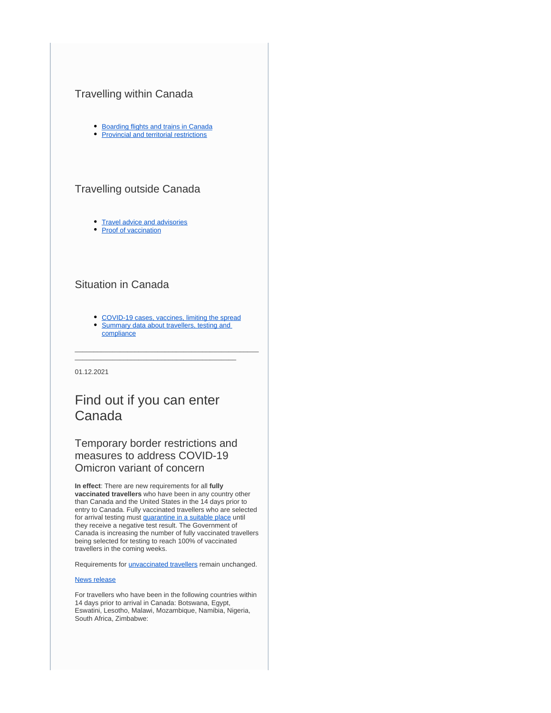### Travelling within Canada

- [Boarding flights and trains in Canada](https://travel.gc.ca/travel-covid/travel-restrictions/domestic-travel)
- [Provincial and territorial restrictions](https://travel.gc.ca/travel-covid/travel-restrictions/provinces)

## Travelling outside Canada

- [Travel advice and advisories](https://travel.gc.ca/travelling/advisories)
- [Proof of vaccination](https://www.canada.ca/en/public-health/services/diseases/coronavirus-disease-covid-19/vaccines/life-after-vaccination/vaccine-proof.html)

## Situation in Canada

• [COVID-19 cases, vaccines, limiting the spread](https://www.canada.ca/en/public-health/services/diseases/coronavirus-disease-covid-19.html) • Summary data about travellers, testing and **[compliance](https://www.canada.ca/en/public-health/services/diseases/coronavirus-disease-covid-19/testing-screening-contact-tracing/summary-data-travellers.html)** 

\_\_\_\_\_\_\_\_\_\_\_\_\_\_\_\_\_\_\_\_\_\_\_\_\_\_\_\_\_\_\_\_\_\_\_\_\_\_\_\_\_\_\_\_\_\_\_\_\_ \_\_\_\_\_\_\_\_\_\_\_\_\_\_\_\_\_\_\_\_\_\_\_\_\_\_\_\_\_\_\_\_\_\_\_\_\_\_\_\_\_\_\_

01.12.2021

## Find out if you can enter Canada

## Temporary border restrictions and measures to address COVID-19 Omicron variant of concern

**In effect**: There are new requirements for all **fully vaccinated travellers** who have been in any country other than Canada and the United States in the 14 days prior to entry to Canada. Fully vaccinated travellers who are selected for arrival testing must [quarantine in a suitable place](https://travel.gc.ca/travel-covid/travel-restrictions/isolation/quarantine-start) until they receive a negative test result. The Government of Canada is increasing the number of fully vaccinated travellers being selected for testing to reach 100% of vaccinated travellers in the coming weeks.

Requirements for [unvaccinated travellers](https://travel.gc.ca/travel-covid/travel-restrictions/flying-canada-checklist/covid-19-testing-travellers-coming-into-canada) remain unchanged.

#### [News release](https://www.canada.ca/en/public-health/news/2021/11/government-of-canada-introduces-additional-measures-to-address-covid-19-omicron-variant-of-concern.html)

For travellers who have been in the following countries within 14 days prior to arrival in Canada: Botswana, Egypt, Eswatini, Lesotho, Malawi, Mozambique, Namibia, Nigeria, South Africa, Zimbabwe: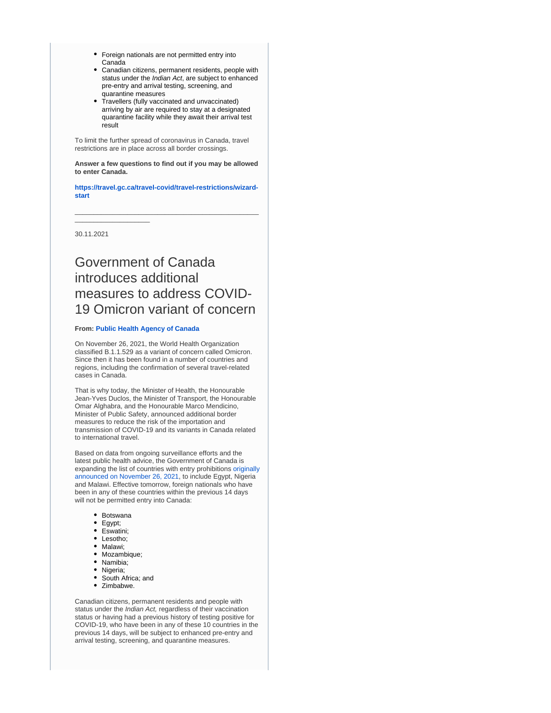- Foreign nationals are not permitted entry into Canada
- Canadian citizens, permanent residents, people with status under the Indian Act, are subject to enhanced pre-entry and arrival testing, screening, and quarantine measures
- Travellers (fully vaccinated and unvaccinated) arriving by air are required to stay at a designated quarantine facility while they await their arrival test result

To limit the further spread of coronavirus in Canada, travel restrictions are in place across all border crossings.

**Answer a few questions to find out if you may be allowed to enter Canada.**

**[https://travel.gc.ca/travel-covid/travel-restrictions/wizard](https://travel.gc.ca/travel-covid/travel-restrictions/wizard-start)[start](https://travel.gc.ca/travel-covid/travel-restrictions/wizard-start)**

\_\_\_\_\_\_\_\_\_\_\_\_\_\_\_\_\_\_\_\_\_\_\_\_\_\_\_\_\_\_\_\_\_\_\_\_\_\_\_\_\_\_\_\_\_\_\_\_\_

30.11.2021

\_\_\_\_\_\_\_\_\_\_\_\_\_\_\_\_\_\_\_\_

## Government of Canada introduces additional measures to address COVID-19 Omicron variant of concern

#### **From: [Public Health Agency of Canada](https://www.canada.ca/en/public-health.html)**

On November 26, 2021, the World Health Organization classified B.1.1.529 as a variant of concern called Omicron. Since then it has been found in a number of countries and regions, including the confirmation of several travel-related cases in Canada.

That is why today, the Minister of Health, the Honourable Jean-Yves Duclos, the Minister of Transport, the Honourable Omar Alghabra, and the Honourable Marco Mendicino, Minister of Public Safety, announced additional border measures to reduce the risk of the importation and transmission of COVID-19 and its variants in Canada related to international travel.

Based on data from ongoing surveillance efforts and the latest public health advice, the Government of Canada is expanding the list of countries with entry prohibitions [originally](https://www.canada.ca/en/public-health/news/2021/11/government-of-canada-introduces-new-measures-to-address-covid-19-omicron-variant-of-concern.html) [announced on November 26, 2021,](https://www.canada.ca/en/public-health/news/2021/11/government-of-canada-introduces-new-measures-to-address-covid-19-omicron-variant-of-concern.html) to include Egypt, Nigeria and Malawi. Effective tomorrow, foreign nationals who have been in any of these countries within the previous 14 days will not be permitted entry into Canada:

- Botswana
- Egypt;
- Eswatini;
- Lesotho;
- Malawi;
- Mozambique;
- Namibia;
- Nigeria;
- South Africa; and
- Zimbabwe.

Canadian citizens, permanent residents and people with status under the *Indian Act*, regardless of their vaccination status or having had a previous history of testing positive for COVID-19, who have been in any of these 10 countries in the previous 14 days, will be subject to enhanced pre-entry and arrival testing, screening, and quarantine measures.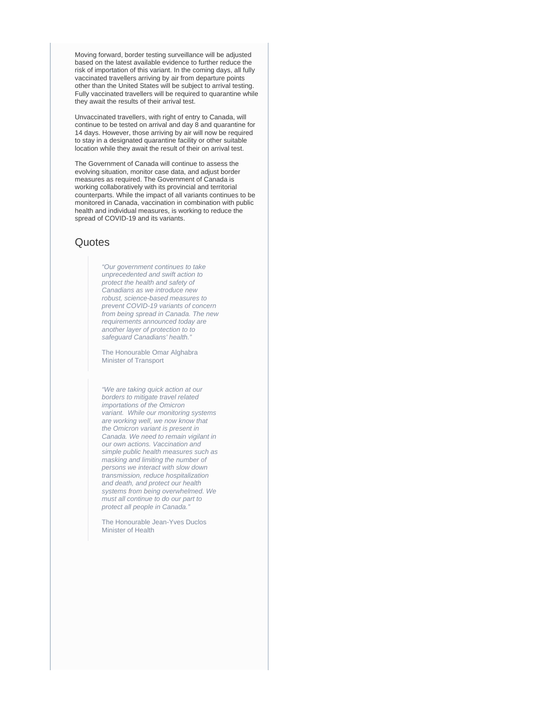Moving forward, border testing surveillance will be adjusted based on the latest available evidence to further reduce the risk of importation of this variant. In the coming days, all fully vaccinated travellers arriving by air from departure points other than the United States will be subject to arrival testing. Fully vaccinated travellers will be required to quarantine while they await the results of their arrival test.

Unvaccinated travellers, with right of entry to Canada, will continue to be tested on arrival and day 8 and quarantine for 14 days. However, those arriving by air will now be required to stay in a designated quarantine facility or other suitable location while they await the result of their on arrival test.

The Government of Canada will continue to assess the evolving situation, monitor case data, and adjust border measures as required. The Government of Canada is working collaboratively with its provincial and territorial counterparts. While the impact of all variants continues to be monitored in Canada, vaccination in combination with public health and individual measures, is working to reduce the spread of COVID-19 and its variants.

## **Quotes**

"Our government continues to take unprecedented and swift action to protect the health and safety of Canadians as we introduce new robust, science-based measures to prevent COVID-19 variants of concern from being spread in Canada. The new requirements announced today are another layer of protection to to safeguard Canadians' health."

The Honourable Omar Alghabra Minister of Transport

"We are taking quick action at our borders to mitigate travel related importations of the Omicron variant. While our monitoring systems are working well, we now know that the Omicron variant is present in Canada. We need to remain vigilant in our own actions. Vaccination and simple public health measures such as masking and limiting the number of persons we interact with slow down transmission, reduce hospitalization and death, and protect our health systems from being overwhelmed. We must all continue to do our part to protect all people in Canada."

The Honourable Jean-Yves Duclos Minister of Health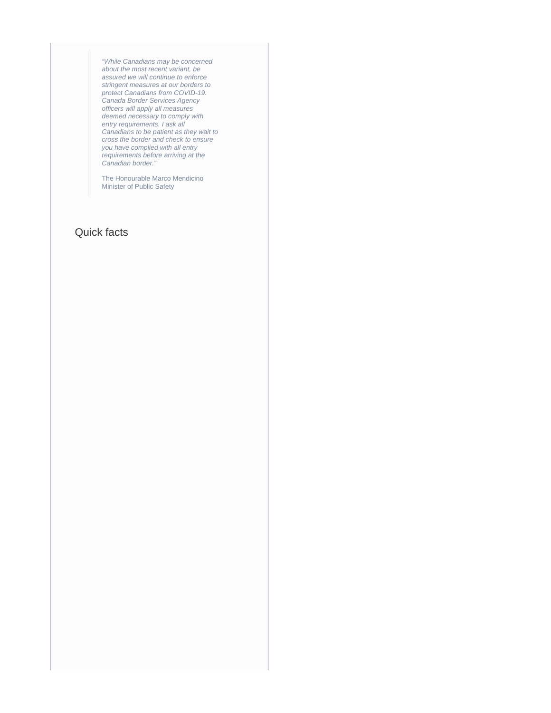"While Canadians may be concerned about the most recent variant, be assured we will continue to enforce stringent measures at our borders to protect Canadians from COVID-19. Canada Border Services Agency officers will apply all measures deemed necessary to comply with entry requirements. I ask all Canadians to be patient as they wait to cross the border and check to ensure you have complied with all entry requirements before arriving at the Canadian border."

The Honourable Marco Mendicino Minister of Public Safety

## Quick facts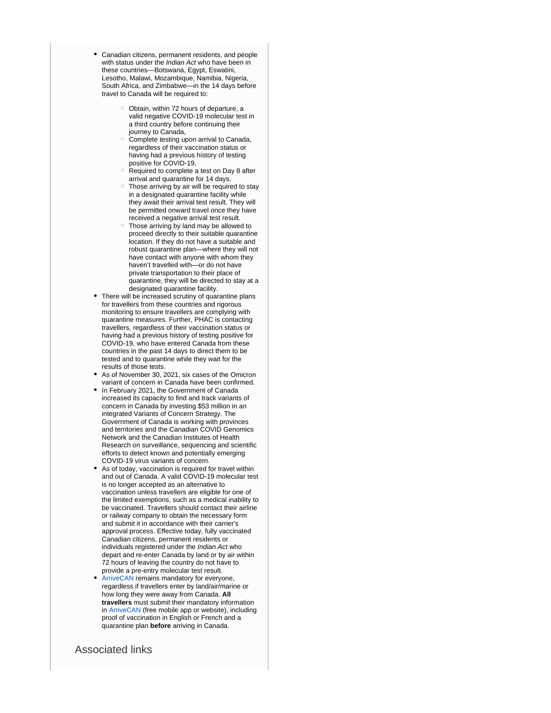- Canadian citizens, permanent residents, and people with status under the *Indian Act* who have been in these countries—Botswana, Egypt, Eswatini, Lesotho, Malawi, Mozambique, Namibia, Nigeria, South Africa, and Zimbabwe—in the 14 days before travel to Canada will be required to:
	- o Obtain, within 72 hours of departure, a valid negative COVID-19 molecular test in a third country before continuing their journey to Canada,
	- Complete testing upon arrival to Canada, regardless of their vaccination status or having had a previous history of testing positive for COVID-19,
	- $\circ$  Required to complete a test on Day 8 after arrival and quarantine for 14 days.
	- Those arriving by air will be required to stay in a designated quarantine facility while they await their arrival test result. They will be permitted onward travel once they have received a negative arrival test result.
	- Those arriving by land may be allowed to proceed directly to their suitable quarantine location. If they do not have a suitable and robust quarantine plan—where they will not have contact with anyone with whom they haven't travelled with—or do not have private transportation to their place of quarantine, they will be directed to stay at a designated quarantine facility.
- There will be increased scrutiny of quarantine plans for travellers from these countries and rigorous monitoring to ensure travellers are complying with quarantine measures. Further, PHAC is contacting travellers, regardless of their vaccination status or having had a previous history of testing positive for COVID-19, who have entered Canada from these countries in the past 14 days to direct them to be tested and to quarantine while they wait for the results of those tests.
- As of November 30, 2021, six cases of the Omicron variant of concern in Canada have been confirmed.
- In February 2021, the Government of Canada increased its capacity to find and track variants of concern in Canada by investing \$53 million in an integrated Variants of Concern Strategy. The Government of Canada is working with provinces and territories and the Canadian COVID Genomics Network and the Canadian Institutes of Health Research on surveillance, sequencing and scientific efforts to detect known and potentially emerging COVID-19 virus variants of concern.
- As of today, vaccination is required for travel within and out of Canada. A valid COVID-19 molecular test is no longer accepted as an alternative to vaccination unless travellers are eligible for one of the limited exemptions, such as a medical inability to be vaccinated. Travellers should contact their airline or railway company to obtain the necessary form and submit it in accordance with their carrier's approval process. Effective today, fully vaccinated Canadian citizens, permanent residents or individuals registered under the Indian Act who depart and re-enter Canada by land or by air within 72 hours of leaving the country do not have to provide a pre-entry molecular test result.
- [ArriveCAN](https://www.canada.ca/en/public-health/services/diseases/coronavirus-disease-covid-19/arrivecan.html?utm_campaign=cbsa-asfc-covid19-21-22&utm_source=news&utm_medium=mdpr&utm_content=bordermeasures_nov21_en33) remains mandatory for everyone, regardless if travellers enter by land/air/marine or how long they were away from Canada. **All travellers** must submit their mandatory information in [ArriveCAN](https://www.canada.ca/en/public-health/services/diseases/coronavirus-disease-covid-19/arrivecan.html?utm_campaign=cbsa-asfc-covid19-21-22&utm_source=news&utm_medium=mdpr&utm_content=bordermeasures_nov21_en33) (free mobile app or website), including proof of vaccination in English or French and a quarantine plan **before** arriving in Canada.

## Associated links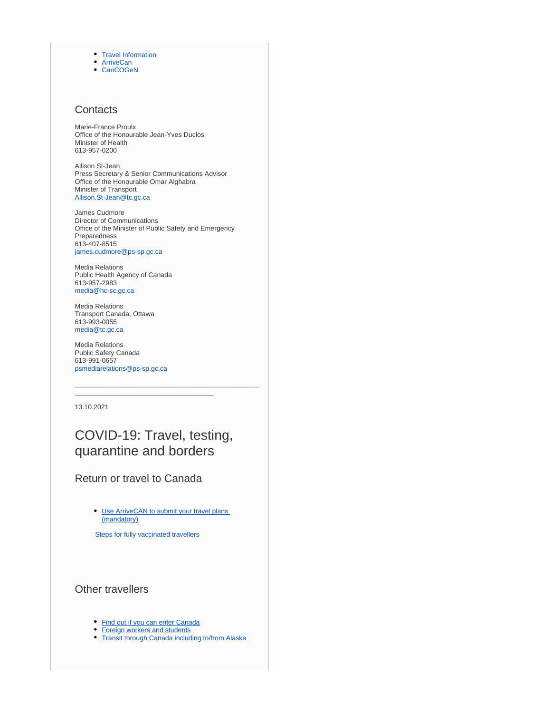- [Travel Information](https://travel.gc.ca/travel-covid)
- [ArriveCan](https://www.canada.ca/en/public-health/services/diseases/coronavirus-disease-covid-19/arrivecan.html)
- [CanCOGeN](https://pm.gc.ca/en/news/news-releases/2020/04/23/prime-minister-announces-new-support-covid-19-medical-research-and)

## **Contacts**

Marie-France Proulx Office of the Honourable Jean-Yves Duclos Minister of Health 613-957-0200

Allison St-Jean Press Secretary & Senior Communications Advisor Office of the Honourable Omar Alghabra Minister of Transport [Allison.St-Jean@tc.gc.ca](mailto:Allison.St-Jean@tc.gc.ca)

James Cudmore Director of Communications Office of the Minister of Public Safety and Emergency Preparedness 613-407-8515 [james.cudmore@ps-sp.gc.ca](mailto:james.cudmore@ps-sp.gc.ca)

Media Relations Public Health Agency of Canada 613-957-2983 [media@hc-sc.gc.ca](mailto:media@hc-sc.gc.ca)

Media Relations Transport Canada, Ottawa 613-993-0055 [media@tc.gc.ca](mailto:media@tc.gc.ca)

Media Relations Public Safety Canada 613-991-0657 [psmediarelations@ps-sp.gc.ca](mailto:psmediarelations@ps-sp.gc.ca)

13.10.2021

## COVID-19: Travel, testing, quarantine and borders

\_\_\_\_\_\_\_\_\_\_\_\_\_\_\_\_\_\_\_\_\_\_\_\_\_\_\_\_\_\_\_\_\_\_\_\_\_

\_\_\_\_\_\_\_\_\_\_\_\_\_\_\_\_\_\_\_\_\_\_\_\_\_\_\_\_\_\_\_\_\_\_\_\_\_\_\_\_\_\_\_\_\_\_\_\_\_

## Return or travel to Canada

• Use ArriveCAN to submit your travel plans [\(mandatory\)](https://www.canada.ca/en/public-health/services/diseases/coronavirus-disease-covid-19/arrivecan.html)

[Steps for fully vaccinated travellers](https://travel.gc.ca/travel-covid/travel-restrictions/covid-vaccinated-travellers-entering-canada)

## Other travellers

- [Find out if you can enter Canada](https://travel.gc.ca/travel-covid/travel-restrictions/wizard-start)
- [Foreign workers and students](https://travel.gc.ca/travel-covid/travel-restrictions/visitors-workers-students)
- [Transit through Canada including to/from Alaska](https://travel.gc.ca/travel-covid/travel-restrictions/border)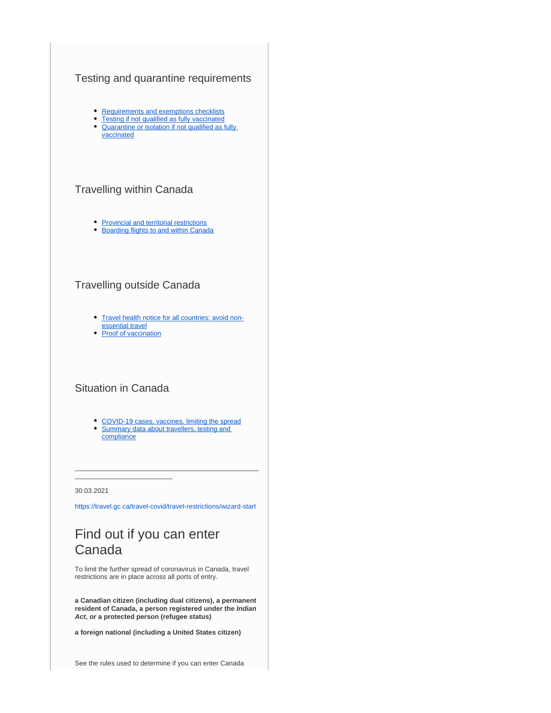## Testing and quarantine requirements

- [Requirements and exemptions checklists](https://travel.gc.ca/travel-covid/travel-restrictions/exemptions)
- $\bullet$ [Testing if not qualified as fully vaccinated](https://travel.gc.ca/travel-covid/travel-restrictions/flying-canada-checklist/covid-19-testing-travellers-coming-into-canada)
- Quarantine or isolation if not qualified as fully [vaccinated](https://travel.gc.ca/travel-covid/travel-restrictions/isolation)

## Travelling within Canada

- [Provincial and territorial restrictions](https://travel.gc.ca/travel-covid/travel-restrictions/provinces)
- [Boarding flights to and within Canada](https://travel.gc.ca/travel-covid/travel-restrictions/flying)

## Travelling outside Canada

- [Travel health notice for all countries: avoid non](https://travel.gc.ca/travelling/health-safety/travel-health-notices/221)[essential travel](https://travel.gc.ca/travelling/health-safety/travel-health-notices/221)
- [Proof of vaccination](https://www.canada.ca/en/public-health/services/diseases/coronavirus-disease-covid-19/vaccines/life-after-vaccination/vaccine-proof.html)

## Situation in Canada

\_\_\_\_\_\_\_\_\_\_\_\_\_\_\_\_\_\_\_\_\_\_\_\_\_\_

[COVID-19 cases, vaccines, limiting the spread](https://www.canada.ca/en/public-health/services/diseases/coronavirus-disease-covid-19.html) • Summary data about travellers, testing and [compliance](https://www.canada.ca/en/public-health/services/diseases/coronavirus-disease-covid-19/testing-screening-contact-tracing/summary-data-travellers.html)

\_\_\_\_\_\_\_\_\_\_\_\_\_\_\_\_\_\_\_\_\_\_\_\_\_\_\_\_\_\_\_\_\_\_\_\_\_\_\_\_\_\_\_\_\_\_\_\_\_

#### 30.03.2021

<https://travel.gc.ca/travel-covid/travel-restrictions/wizard-start>

# Find out if you can enter Canada

To limit the further spread of coronavirus in Canada, travel restrictions are in place across all ports of entry.

**a Canadian citizen (including dual citizens), a permanent resident of Canada, a person registered under the Indian Act, or a protected person (refugee status)**

**a foreign national (including a United States citizen)**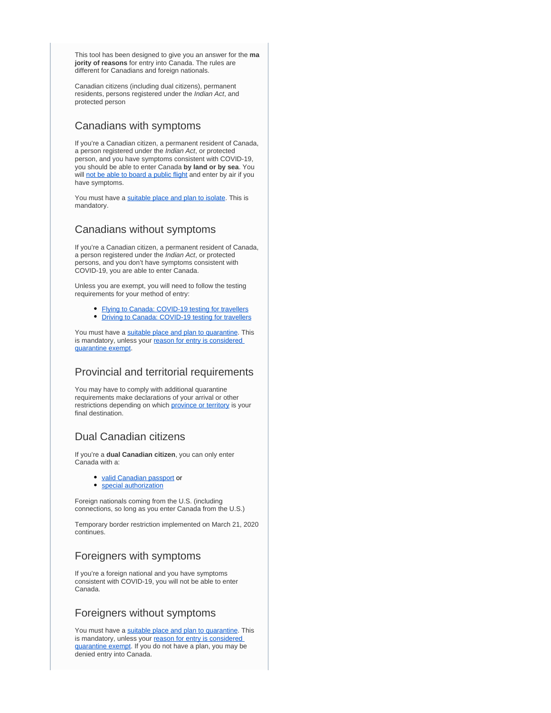This tool has been designed to give you an answer for the **ma jority of reasons** for entry into Canada. The rules are different for Canadians and foreign nationals.

Canadian citizens (including dual citizens), permanent residents, persons registered under the Indian Act, and protected person

## Canadians with symptoms

If you're a Canadian citizen, a permanent resident of Canada, a person registered under the Indian Act, or protected person, and you have symptoms consistent with COVID-19, you should be able to enter Canada **by land or by sea**. You will [not be able to board a public flight](https://travel.gc.ca/travel-covid/travel-restrictions/flying#fly-symptoms) and enter by air if you have symptoms.

You must have a [suitable place and plan to isolate](https://travel.gc.ca/travel-covid/travel-restrictions/isolation#isolation). This is mandatory.

## Canadians without symptoms

If you're a Canadian citizen, a permanent resident of Canada, a person registered under the Indian Act, or protected persons, and you don't have symptoms consistent with COVID-19, you are able to enter Canada.

Unless you are exempt, you will need to follow the testing requirements for your method of entry:

- [Flying to Canada: COVID-19 testing for travellers](https://travel.gc.ca/travel-covid/travel-restrictions/flying/covid-19-testing-travellers-coming-into-canada) • [Driving to Canada: COVID-19 testing for travellers](https://travel.gc.ca/travel-covid/travel-restrictions/covid-19-testing-travellers-driving)
- 

You must have a [suitable place and plan to quarantine](https://travel.gc.ca/travel-covid/travel-restrictions/isolation#quarantine). This is mandatory, unless your reason for entry is considered [quarantine exempt](https://travel.gc.ca/travel-covid/travel-restrictions/isolation#exemptions).

## Provincial and territorial requirements

You may have to comply with additional quarantine requirements make declarations of your arrival or other restrictions depending on which [province or territory](https://travel.gc.ca/travel-covid/travel-restrictions/provinces) is your final destination.

## Dual Canadian citizens

If you're a **dual Canadian citizen**, you can only enter Canada with a:

- [valid Canadian passport](https://www.canada.ca/en/immigration-refugees-citizenship/services/visit-canada/dual-canadian-citizens-visit-canada.html) or
- [special authorization](https://www.canada.ca/en/immigration-refugees-citizenship/services/visit-canada/dual-canadian-citizens-visit-canada.html#findOut)

Foreign nationals coming from the U.S. (including connections, so long as you enter Canada from the U.S.)

Temporary border restriction implemented on March 21, 2020 continues.

## Foreigners with symptoms

If you're a foreign national and you have symptoms consistent with COVID-19, you will not be able to enter Canada.

## Foreigners without symptoms

You must have a [suitable place and plan to quarantine](https://travel.gc.ca/travel-covid/travel-restrictions/isolation#quarantine). This is mandatory, unless your reason for entry is considered [quarantine exempt](https://travel.gc.ca/travel-covid/travel-restrictions/isolation#exemptions). If you do not have a plan, you may be denied entry into Canada.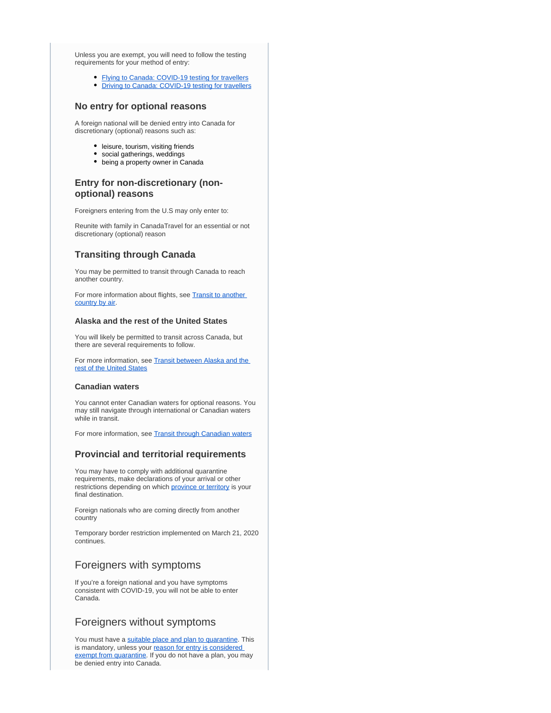Unless you are exempt, you will need to follow the testing requirements for your method of entry:

- [Flying to Canada: COVID-19 testing for travellers](https://travel.gc.ca/travel-covid/travel-restrictions/flying/covid-19-testing-travellers-coming-into-canada)
- [Driving to Canada: COVID-19 testing for travellers](https://travel.gc.ca/travel-covid/travel-restrictions/covid-19-testing-travellers-driving)

#### **No entry for optional reasons**

A foreign national will be denied entry into Canada for discretionary (optional) reasons such as:

- leisure, tourism, visiting friends
- social gatherings, weddings
- being a property owner in Canada

#### **Entry for non-discretionary (nonoptional) reasons**

Foreigners entering from the U.S may only enter to:

Reunite with family in CanadaTravel for an essential or not discretionary (optional) reason

#### **Transiting through Canada**

You may be permitted to transit through Canada to reach another country.

For more information about flights, see Transit to another [country by air](https://travel.gc.ca/travel-covid/travel-restrictions/border#transit-air).

#### **Alaska and the rest of the United States**

You will likely be permitted to transit across Canada, but there are several requirements to follow.

For more information, see Transit between Alaska and the [rest of the United States](https://travel.gc.ca/travel-covid/travel-restrictions/border#alaska)

#### **Canadian waters**

You cannot enter Canadian waters for optional reasons. You may still navigate through international or Canadian waters while in transit.

For more information, see [Transit through Canadian waters](https://travel.gc.ca/travel-covid/travel-restrictions/border#waters)

#### **Provincial and territorial requirements**

You may have to comply with additional quarantine requirements, make declarations of your arrival or other restrictions depending on which [province or territory](https://travel.gc.ca/travel-covid/travel-restrictions/provinces) is your final destination.

Foreign nationals who are coming directly from another country

Temporary border restriction implemented on March 21, 2020 continues.

## Foreigners with symptoms

If you're a foreign national and you have symptoms consistent with COVID-19, you will not be able to enter Canada.

## Foreigners without symptoms

You must have a [suitable place and plan to quarantine](https://travel.gc.ca/travel-covid/travel-restrictions/isolation#quarantine). This is mandatory, unless your reason for entry is considered [exempt from quarantine](https://travel.gc.ca/travel-covid/travel-restrictions/isolation#exemptions). If you do not have a plan, you may be denied entry into Canada.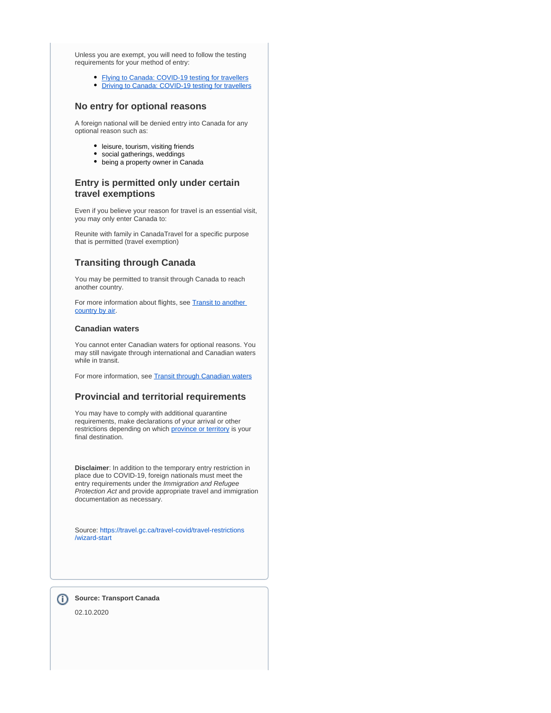Unless you are exempt, you will need to follow the testing requirements for your method of entry:

- [Flying to Canada: COVID-19 testing for travellers](https://travel.gc.ca/travel-covid/travel-restrictions/flying/covid-19-testing-travellers-coming-into-canada)
- [Driving to Canada: COVID-19 testing for travellers](https://travel.gc.ca/travel-covid/travel-restrictions/covid-19-testing-travellers-driving)

#### **No entry for optional reasons**

A foreign national will be denied entry into Canada for any optional reason such as:

- leisure, tourism, visiting friends
- social gatherings, weddings
- being a property owner in Canada

#### **Entry is permitted only under certain travel exemptions**

Even if you believe your reason for travel is an essential visit, you may only enter Canada to:

Reunite with family in CanadaTravel for a specific purpose that is permitted (travel exemption)

### **Transiting through Canada**

You may be permitted to transit through Canada to reach another country.

For more information about flights, see Transit to another [country by air](https://travel.gc.ca/travel-covid/travel-restrictions/border#transit-air).

#### **Canadian waters**

You cannot enter Canadian waters for optional reasons. You may still navigate through international and Canadian waters while in transit.

For more information, see [Transit through Canadian waters](https://travel.gc.ca/travel-covid/travel-restrictions/border#waters)

#### **Provincial and territorial requirements**

You may have to comply with additional quarantine requirements, make declarations of your arrival or other restrictions depending on which [province or territory](https://travel.gc.ca/travel-covid/travel-restrictions/provinces) is your final destination.

**Disclaimer**: In addition to the temporary entry restriction in place due to COVID-19, foreign nationals must meet the entry requirements under the Immigration and Refugee Protection Act and provide appropriate travel and immigration documentation as necessary.

Source: [https://travel.gc.ca/travel-covid/travel-restrictions](https://travel.gc.ca/travel-covid/travel-restrictions/wizard-start) [/wizard-start](https://travel.gc.ca/travel-covid/travel-restrictions/wizard-start)

**Source: Transport Canada** (i)

02.10.2020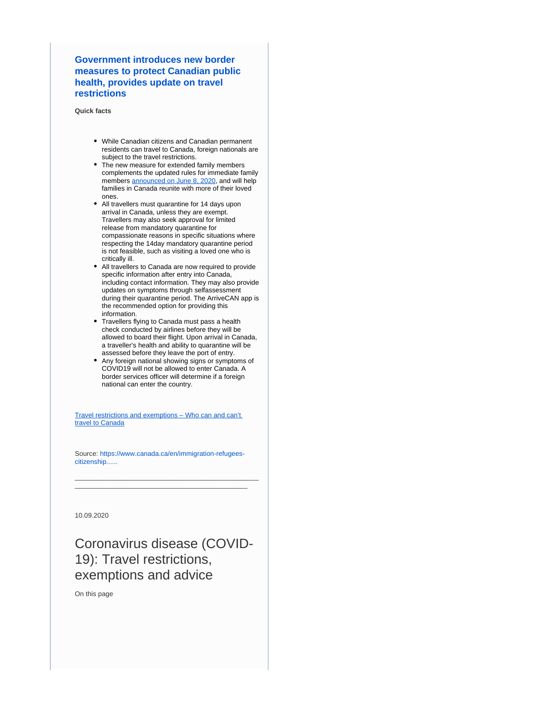## **[Government introduces new border](https://www.canada.ca/en/immigration-refugees-citizenship/news/2020/10/government-introduces-new-border-measures-to-protect-canadian-public-health-provides-update-on-travel-restrictions.html)  [measures to protect Canadian public](https://www.canada.ca/en/immigration-refugees-citizenship/news/2020/10/government-introduces-new-border-measures-to-protect-canadian-public-health-provides-update-on-travel-restrictions.html)  [health, provides update on travel](https://www.canada.ca/en/immigration-refugees-citizenship/news/2020/10/government-introduces-new-border-measures-to-protect-canadian-public-health-provides-update-on-travel-restrictions.html)  [restrictions](https://www.canada.ca/en/immigration-refugees-citizenship/news/2020/10/government-introduces-new-border-measures-to-protect-canadian-public-health-provides-update-on-travel-restrictions.html)**

**Quick facts**

- While Canadian citizens and Canadian permanent residents can travel to Canada, foreign nationals are subject to the travel restrictions.
- The new measure for extended family members complements the updated rules for immediate family members [announced on June 8, 2020,](https://www.canada.ca/en/border-services-agency/news/2020/06/changes-to-travel-restrictions-for-immediate-family-members-of-canadian-citizens-and-permanent-residents.html) and will help families in Canada reunite with more of their loved ones.
- All travellers must quarantine for 14 days upon arrival in Canada, unless they are exempt. Travellers may also seek approval for limited release from mandatory quarantine for compassionate reasons in specific situations where respecting the 14day mandatory quarantine period is not feasible, such as visiting a loved one who is critically ill.
- All travellers to Canada are now required to provide specific information after entry into Canada, including contact information. They may also provide updates on symptoms through selfassessment during their quarantine period. The ArriveCAN app is the recommended option for providing this information.
- Travellers flying to Canada must pass a health check conducted by airlines before they will be allowed to board their flight. Upon arrival in Canada, a traveller's health and ability to quarantine will be assessed before they leave the port of entry.
- Any foreign national showing signs or symptoms of COVID19 will not be allowed to enter Canada. A border services officer will determine if a foreign national can enter the country.

[Travel restrictions and exemptions – Who can and can't](https://www.canada.ca/en/immigration-refugees-citizenship/services/coronavirus-covid19/travel-restrictions-exemptions.html#enter)  [travel to Canada](https://www.canada.ca/en/immigration-refugees-citizenship/services/coronavirus-covid19/travel-restrictions-exemptions.html#enter)

Source: [https://www.canada.ca/en/immigration-refugees](https://www.canada.ca/en/immigration-refugees-citizenship/news/2020/10/government-introduces-new-border-measures-to-protect-canadian-public-health-provides-update-on-travel-restrictions.html)[citizenship......](https://www.canada.ca/en/immigration-refugees-citizenship/news/2020/10/government-introduces-new-border-measures-to-protect-canadian-public-health-provides-update-on-travel-restrictions.html)

\_\_\_\_\_\_\_\_\_\_\_\_\_\_\_\_\_\_\_\_\_\_\_\_\_\_\_\_\_\_\_\_\_\_\_\_\_\_\_\_\_\_\_\_\_\_\_\_\_ \_\_\_\_\_\_\_\_\_\_\_\_\_\_\_\_\_\_\_\_\_\_\_\_\_\_\_\_\_\_\_\_\_\_\_\_\_\_\_\_\_\_\_\_\_\_

10.09.2020

Coronavirus disease (COVID-19): Travel restrictions, exemptions and advice

On this page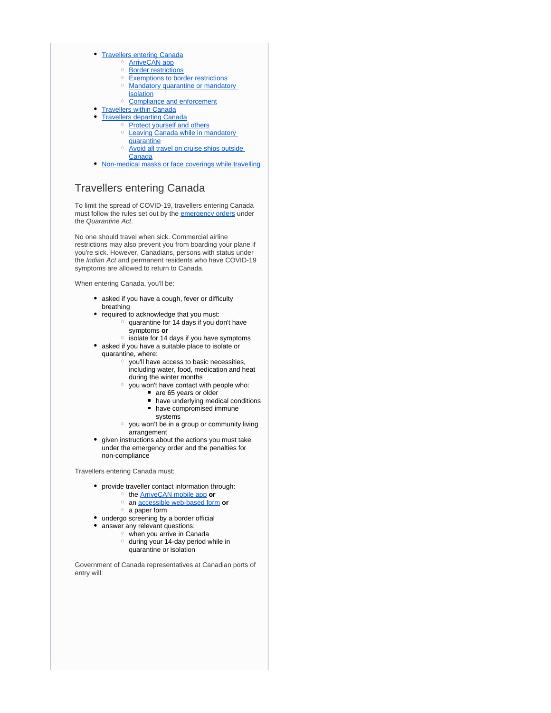- **[Travellers entering Canada](https://www.canada.ca/en/public-health/services/diseases/2019-novel-coronavirus-infection/latest-travel-health-advice.html#f)** 
	- [ArriveCAN app](https://www.canada.ca/en/public-health/services/diseases/2019-novel-coronavirus-infection/latest-travel-health-advice.html#a_arriveCAN)
	- <sup>o</sup> [Border restrictions](https://www.canada.ca/en/public-health/services/diseases/2019-novel-coronavirus-infection/latest-travel-health-advice.html#_Canada-U.S._border_restrictions_1)
	- <sup>o</sup> [Exemptions to border restrictions](https://www.canada.ca/en/public-health/services/diseases/2019-novel-coronavirus-infection/latest-travel-health-advice.html#a3)
	- <sup>o</sup> Mandatory quarantine or mandatory
	- **[isolation](https://www.canada.ca/en/public-health/services/diseases/2019-novel-coronavirus-infection/latest-travel-health-advice.html#_Mandatory_quarantine_and)**
	- <sup>o</sup> [Compliance and enforcement](https://www.canada.ca/en/public-health/services/diseases/2019-novel-coronavirus-infection/latest-travel-health-advice.html#a2)
	- **[Travellers within Canada](https://www.canada.ca/en/public-health/services/diseases/2019-novel-coronavirus-infection/latest-travel-health-advice.html#domestic)**
	- [Travellers departing Canada](https://www.canada.ca/en/public-health/services/diseases/2019-novel-coronavirus-infection/latest-travel-health-advice.html#_Travellers_departing_Canada)
		- <sup>o</sup> [Protect yourself and others](https://www.canada.ca/en/public-health/services/diseases/2019-novel-coronavirus-infection/latest-travel-health-advice.html#must-travel)
		- <sup>o</sup> Leaving Canada while in mandatory [quarantine](https://www.canada.ca/en/public-health/services/diseases/2019-novel-coronavirus-infection/latest-travel-health-advice.html#_leaving_Canada_)
		- [Avoid all travel on cruise ships outside](https://www.canada.ca/en/public-health/services/diseases/2019-novel-coronavirus-infection/latest-travel-health-advice.html#cruise)  **[Canada](https://www.canada.ca/en/public-health/services/diseases/2019-novel-coronavirus-infection/latest-travel-health-advice.html#cruise)**
- [Non-medical masks or face coverings while travelling](https://www.canada.ca/en/public-health/services/diseases/2019-novel-coronavirus-infection/latest-travel-health-advice.html#a4)

## Travellers entering Canada

To limit the spread of COVID-19, travellers entering Canada must follow the rules set out by the [emergency orders](https://www.canada.ca/en/public-health/corporate/mandate/about-agency/acts-regulations/list-acts-regulations.html#emergency) under the Quarantine Act.

No one should travel when sick. Commercial airline restrictions may also prevent you from boarding your plane if you're sick. However, Canadians, persons with status under the Indian Act and permanent residents who have COVID-19 symptoms are allowed to return to Canada.

When entering Canada, you'll be:

- asked if you have a cough, fever or difficulty breathing
- required to acknowledge that you must:
	- quarantine for 14 days if you don't have symptoms **or**
	- <sup>o</sup> isolate for 14 days if you have symptoms
- asked if you have a suitable place to isolate or quarantine, where:
	- you'll have access to basic necessities, including water, food, medication and heat during the winter months
	- you won't have contact with people who:
		- are 65 years or older
		- have underlying medical conditions
		- have compromised immune
		- systems
	- you won't be in a group or community living arrangement
- given instructions about the actions you must take under the emergency order and the penalties for non-compliance

Travellers entering Canada must:

- provide traveller contact information through:
	- the [ArriveCAN mobile app](https://www.canada.ca/en/public-health/services/diseases/2019-novel-coronavirus-infection/latest-travel-health-advice.html#a_arriveCAN) **or**
	- an [accessible web-based form](https://arrivecan.cbsa-asfc.cloud-nuage.canada.ca/) **or**
	- a paper form
- undergo screening by a border official
	- answer any relevant questions:
		- when you arrive in Canada
		- $\circ$  during your 14-day period while in quarantine or isolation

Government of Canada representatives at Canadian ports of entry will: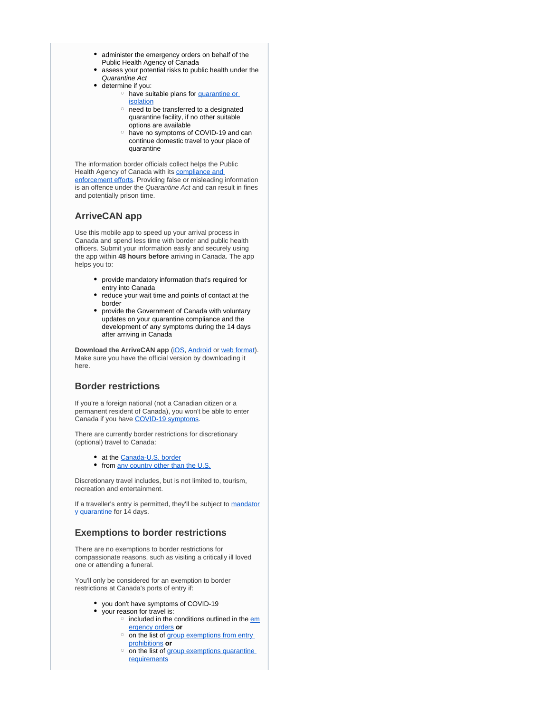- administer the emergency orders on behalf of the Public Health Agency of Canada
- assess your potential risks to public health under the Quarantine Act
- determine if you:
	- <sup>o</sup> have suitable plans for quarantine or **[isolation](https://www.canada.ca/en/public-health/services/diseases/2019-novel-coronavirus-infection/latest-travel-health-advice.html#_Mandatory_quarantine_and)**
	- o need to be transferred to a designated quarantine facility, if no other suitable options are available
	- <sup>o</sup> have no symptoms of COVID-19 and can continue domestic travel to your place of quarantine

The information border officials collect helps the Public Health Agency of Canada with its [compliance and](https://www.canada.ca/en/public-health/services/diseases/2019-novel-coronavirus-infection/latest-travel-health-advice.html#a2)  [enforcement efforts.](https://www.canada.ca/en/public-health/services/diseases/2019-novel-coronavirus-infection/latest-travel-health-advice.html#a2) Providing false or misleading information is an offence under the Quarantine Act and can result in fines and potentially prison time.

### **ArriveCAN app**

Use this mobile app to speed up your arrival process in Canada and spend less time with border and public health officers. Submit your information easily and securely using the app within **48 hours before** arriving in Canada. The app helps you to:

- provide mandatory information that's required for entry into Canada
- reduce your wait time and points of contact at the border
- provide the Government of Canada with voluntary updates on your quarantine compliance and the development of any symptoms during the 14 days after arriving in Canada

**Download the ArriveCAN app** (*iOS*, [Android](https://play.google.com/store/apps/details?id=ca.gc.cbsa.coronavirus) or [web format](https://arrivecan.cbsa-asfc.cloud-nuage.canada.ca/)). Make sure you have the official version by downloading it here.

#### **Border restrictions**

If you're a foreign national (not a Canadian citizen or a permanent resident of Canada), you won't be able to enter Canada if you have [COVID-19 symptoms.](https://www.canada.ca/en/public-health/services/diseases/2019-novel-coronavirus-infection/symptoms.html#s)

There are currently border restrictions for discretionary (optional) travel to Canada:

- at the [Canada-U.S. border](https://orders-in-council.canada.ca/attachment.php?attach=39536&lang=en)
- from [any country other than the U.S.](https://orders-in-council.canada.ca/attachment.php?attach=39612&lang=en)

Discretionary travel includes, but is not limited to, tourism, recreation and entertainment.

If a traveller's entry is permitted, they'll be subject to [mandator](https://orders-in-council.canada.ca/attachment.php?attach=39613&lang=en) [y quarantine](https://orders-in-council.canada.ca/attachment.php?attach=39613&lang=en) for 14 days.

#### **Exemptions to border restrictions**

There are no exemptions to border restrictions for compassionate reasons, such as visiting a critically ill loved one or attending a funeral.

You'll only be considered for an exemption to border restrictions at Canada's ports of entry if:

- you don't have symptoms of COVID-19
- your reason for travel is:
	- $\circ$  included in the conditions outlined in the  $em$ [ergency orders](https://www.canada.ca/en/public-health/corporate/mandate/about-agency/acts-regulations/list-acts-regulations.html#emergency) **or**
	- <sup>o</sup> on the list of group exemptions from entry [prohibitions](https://www.canada.ca/en/public-health/corporate/mandate/about-agency/acts-regulations/list-acts-regulations.html#GE3) **or**
	- <sup>o</sup> on the list of group exemptions quarantine **[requirements](https://www.canada.ca/en/public-health/corporate/mandate/about-agency/acts-regulations/list-acts-regulations.html#6e)**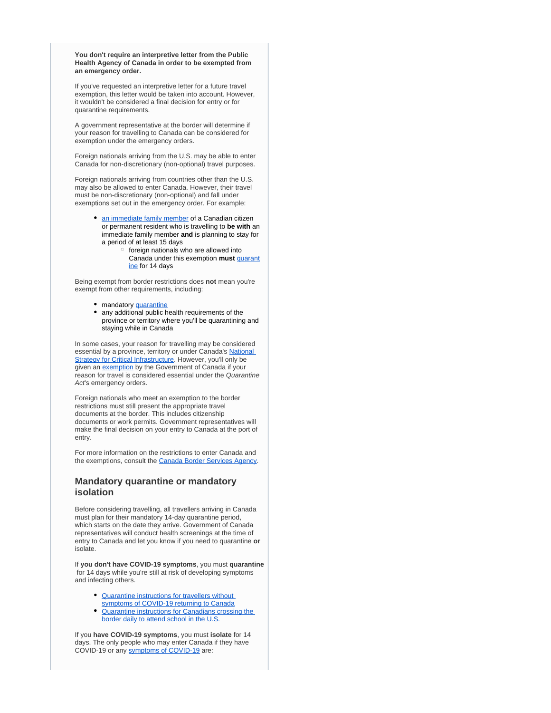**You don't require an interpretive letter from the Public Health Agency of Canada in order to be exempted from an emergency order.**

If you've requested an interpretive letter for a future travel exemption, this letter would be taken into account. However, it wouldn't be considered a final decision for entry or for quarantine requirements.

A government representative at the border will determine if your reason for travelling to Canada can be considered for exemption under the emergency orders.

Foreign nationals arriving from the U.S. may be able to enter Canada for non-discretionary (non-optional) travel purposes.

Foreign nationals arriving from countries other than the U.S. may also be allowed to enter Canada. However, their travel must be non-discretionary (non-optional) and fall under exemptions set out in the emergency order. For example:

- [an immediate family member](https://www.canada.ca/en/immigration-refugees-citizenship/services/coronavirus-covid19/travel-restrictions-exemptions.html#immediate) of a Canadian citizen or permanent resident who is travelling to **be with** an immediate family member **and** is planning to stay for a period of at least 15 days
	- $\circ$  foreign nationals who are allowed into Canada under this exemption **must** [quarant](https://www.canada.ca/en/public-health/services/publications/diseases-conditions/2019-novel-coronavirus-information-sheet.html) [ine](https://www.canada.ca/en/public-health/services/publications/diseases-conditions/2019-novel-coronavirus-information-sheet.html) for 14 days

Being exempt from border restrictions does **not** mean you're exempt from other requirements, including:

- mandatory [quarantine](https://www.canada.ca/en/public-health/services/diseases/2019-novel-coronavirus-infection/latest-travel-health-advice.html#_Mandatory_quarantine_and)
- any additional public health requirements of the province or territory where you'll be quarantining and staying while in Canada

In some cases, your reason for travelling may be considered essential by a province, territory or under Canada's National [Strategy for Critical Infrastructure](https://www.publicsafety.gc.ca/cnt/ntnl-scrt/crtcl-nfrstrctr/esf-sfe-en.aspx). However, you'll only be given an [exemption](https://www.canada.ca/en/public-health/services/diseases/2019-novel-coronavirus-infection/latest-travel-health-advice.html#a3) by the Government of Canada if your reason for travel is considered essential under the Quarantine Act's emergency orders.

Foreign nationals who meet an exemption to the border restrictions must still present the appropriate travel documents at the border. This includes citizenship documents or work permits. Government representatives will make the final decision on your entry to Canada at the port of entry.

For more information on the restrictions to enter Canada and the exemptions, consult the [Canada Border Services Agency](https://www.cbsa-asfc.gc.ca/services/covid/non-canadians-canadiens-eng.html).

#### **Mandatory quarantine or mandatory isolation**

Before considering travelling, all travellers arriving in Canada must plan for their mandatory 14-day quarantine period, which starts on the date they arrive. Government of Canada representatives will conduct health screenings at the time of entry to Canada and let you know if you need to quarantine **or** isolate.

If **you don't have COVID-19 symptoms**, you must **quarantine** for 14 days while you're still at risk of developing symptoms and infecting others.

- Quarantine instructions for travellers without [symptoms of COVID-19 returning to Canada](https://www.canada.ca/en/public-health/services/publications/diseases-conditions/2019-novel-coronavirus-information-sheet.html)
- [Quarantine instructions for Canadians crossing the](https://www.canada.ca/en/public-health/services/publications/diseases-conditions/covid-19-crossing-border-school-united-states.html)  [border daily to attend school in the U.S.](https://www.canada.ca/en/public-health/services/publications/diseases-conditions/covid-19-crossing-border-school-united-states.html)

If you **have COVID-19 symptoms**, you must **isolate** for 14 days. The only people who may enter Canada if they have COVID-19 or any [symptoms of COVID-19](https://www.canada.ca/en/public-health/services/diseases/2019-novel-coronavirus-infection/symptoms.html#s) are: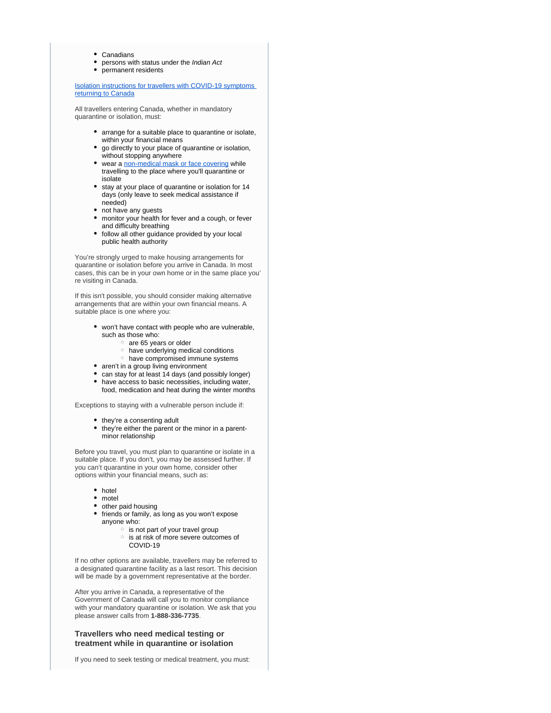- Canadians
- persons with status under the Indian Act
- permanent residents

[Isolation instructions for travellers with COVID-19 symptoms](https://www.canada.ca/en/public-health/services/publications/diseases-conditions/travellers-with-symptoms-return-canada.html)  [returning to Canada](https://www.canada.ca/en/public-health/services/publications/diseases-conditions/travellers-with-symptoms-return-canada.html)

All travellers entering Canada, whether in mandatory quarantine or isolation, must:

- arrange for a suitable place to quarantine or isolate, within your financial means
- go directly to your place of quarantine or isolation, without stopping anywhere
- wear a [non-medical mask or face covering](https://www.canada.ca/en/public-health/services/diseases/2019-novel-coronavirus-infection/prevention-risks/about-non-medical-masks-face-coverings.html) while travelling to the place where you'll quarantine or isolate
- stay at your place of quarantine or isolation for 14 days (only leave to seek medical assistance if needed)
- not have any guests
- monitor your health for fever and a cough, or fever and difficulty breathing
- follow all other guidance provided by your local public health authority

You're strongly urged to make housing arrangements for quarantine or isolation before you arrive in Canada. In most cases, this can be in your own home or in the same place you' re visiting in Canada.

If this isn't possible, you should consider making alternative arrangements that are within your own financial means. A suitable place is one where you:

- won't have contact with people who are vulnerable, such as those who:
	- are 65 years or older
	- o have underlying medical conditions
	- o have compromised immune systems
- aren't in a group living environment
- can stay for at least 14 days (and possibly longer)
- have access to basic necessities, including water, food, medication and heat during the winter months

Exceptions to staying with a vulnerable person include if:

- they're a consenting adult
- they're either the parent or the minor in a parentminor relationship

Before you travel, you must plan to quarantine or isolate in a suitable place. If you don't, you may be assessed further. If you can't quarantine in your own home, consider other options within your financial means, such as:

- hotel
- motel
- other paid housing
- friends or family, as long as you won't expose anyone who:
	- $\circ$  is not part of your travel group
	- $\circ$  is at risk of more severe outcomes of COVID-19

If no other options are available, travellers may be referred to a designated quarantine facility as a last resort. This decision will be made by a government representative at the border.

After you arrive in Canada, a representative of the Government of Canada will call you to monitor compliance with your mandatory quarantine or isolation. We ask that you please answer calls from **1-888-336-7735**.

#### **Travellers who need medical testing or treatment while in quarantine or isolation**

If you need to seek testing or medical treatment, you must: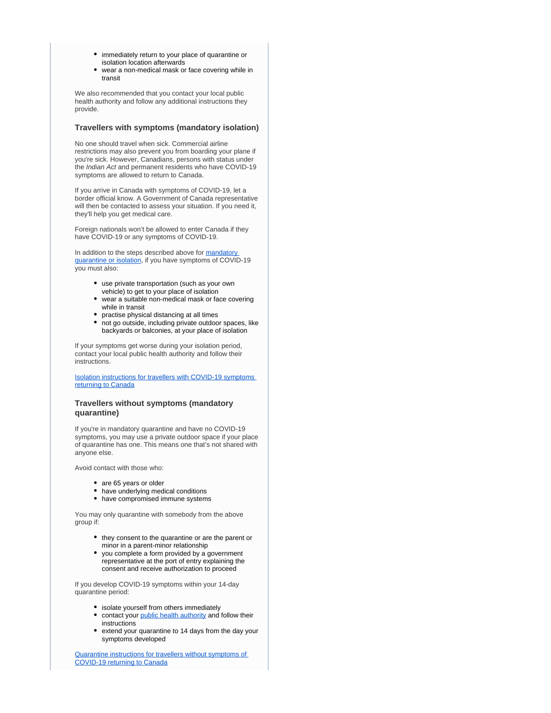- immediately return to your place of quarantine or isolation location afterwards
- wear a non-medical mask or face covering while in transit

We also recommended that you contact your local public health authority and follow any additional instructions they provide.

#### **Travellers with symptoms (mandatory isolation)**

No one should travel when sick. Commercial airline restrictions may also prevent you from boarding your plane if you're sick. However, Canadians, persons with status under the Indian Act and permanent residents who have COVID-19 symptoms are allowed to return to Canada.

If you arrive in Canada with symptoms of COVID-19, let a border official know. A Government of Canada representative will then be contacted to assess your situation. If you need it, they'll help you get medical care.

Foreign nationals won't be allowed to enter Canada if they have COVID-19 or any symptoms of COVID-19.

In addition to the steps described above for mandatory [quarantine or isolation](https://www.canada.ca/en/public-health/services/diseases/2019-novel-coronavirus-infection/latest-travel-health-advice.html#_Mandatory_quarantine_and), if you have symptoms of COVID-19 you must also:

- use private transportation (such as your own vehicle) to get to your place of isolation
- wear a suitable non-medical mask or face covering while in transit
- practise physical distancing at all times
- not go outside, including private outdoor spaces, like backyards or balconies, at your place of isolation

If your symptoms get worse during your isolation period, contact your local public health authority and follow their instructions.

[Isolation instructions for travellers with COVID-19 symptoms](https://www.canada.ca/en/public-health/services/publications/diseases-conditions/travellers-with-symptoms-return-canada.html)  [returning to Canada](https://www.canada.ca/en/public-health/services/publications/diseases-conditions/travellers-with-symptoms-return-canada.html)

#### **Travellers without symptoms (mandatory quarantine)**

If you're in mandatory quarantine and have no COVID-19 symptoms, you may use a private outdoor space if your place of quarantine has one. This means one that's not shared with anyone else.

Avoid contact with those who:

- are 65 years or older
- have underlying medical conditions
- have compromised immune systems

You may only quarantine with somebody from the above group if:

- they consent to the quarantine or are the parent or minor in a parent-minor relationship
- you complete a form provided by a government representative at the port of entry explaining the consent and receive authorization to proceed

If you develop COVID-19 symptoms within your 14-day quarantine period:

- isolate yourself from others immediately
- contact your [public health authority](https://www.canada.ca/en/public-health/services/diseases/2019-novel-coronavirus-infection/symptoms/provincial-territorial-resources-covid-19.html) and follow their instructions
- extend your quarantine to 14 days from the day your symptoms developed

[Quarantine instructions for travellers without symptoms of](https://www.canada.ca/en/public-health/services/publications/diseases-conditions/2019-novel-coronavirus-information-sheet.html)  [COVID-19 returning to Canada](https://www.canada.ca/en/public-health/services/publications/diseases-conditions/2019-novel-coronavirus-information-sheet.html)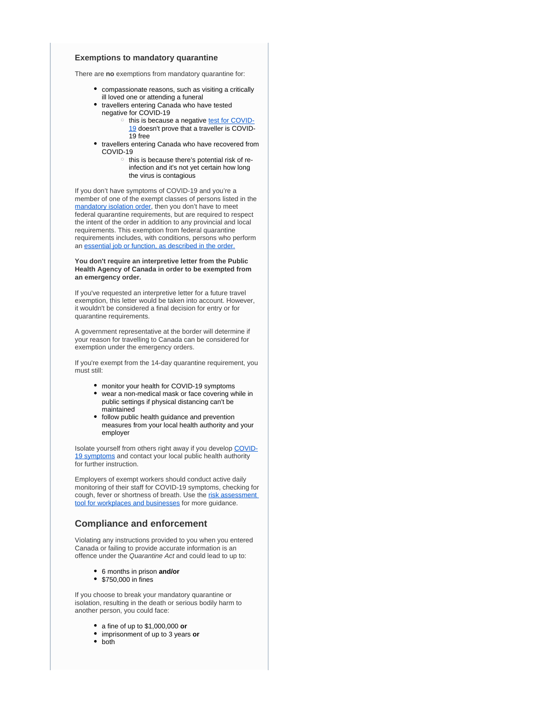#### **Exemptions to mandatory quarantine**

There are **no** exemptions from mandatory quarantine for:

- compassionate reasons, such as visiting a critically ill loved one or attending a funeral
- travellers entering Canada who have tested negative for COVID-19
	- o this is because a negative [test for COVID-](https://www.canada.ca/en/public-health/services/diseases/2019-novel-coronavirus-infection/symptoms/testing.html#accuracy)[19](https://www.canada.ca/en/public-health/services/diseases/2019-novel-coronavirus-infection/symptoms/testing.html#accuracy) doesn't prove that a traveller is COVID-19 free
- travellers entering Canada who have recovered from COVID-19
	- $\circ$  this is because there's potential risk of reinfection and it's not yet certain how long the virus is contagious

If you don't have symptoms of COVID-19 and you're a member of one of the exempt classes of persons listed in the [mandatory isolation order,](https://orders-in-council.canada.ca/attachment.php?attach=39613&lang=en) then you don't have to meet federal quarantine requirements, but are required to respect the intent of the order in addition to any provincial and local requirements. This exemption from federal quarantine requirements includes, with conditions, persons who perform an [essential job or function, as described in the order.](https://www.canada.ca/en/public-health/corporate/mandate/about-agency/acts-regulations/list-acts-regulations.html#exempted)

#### **You don't require an interpretive letter from the Public Health Agency of Canada in order to be exempted from an emergency order.**

If you've requested an interpretive letter for a future travel exemption, this letter would be taken into account. However, it wouldn't be considered a final decision for entry or for quarantine requirements.

A government representative at the border will determine if your reason for travelling to Canada can be considered for exemption under the emergency orders.

If you're exempt from the 14-day quarantine requirement, you must still:

- monitor your health for COVID-19 symptoms
- wear a non-medical mask or face covering while in public settings if physical distancing can't be maintained
- follow public health guidance and prevention measures from your local health authority and your employer

Isolate yourself from others right away if you develop [COVID-](https://www.canada.ca/en/public-health/services/diseases/2019-novel-coronavirus-infection/symptoms.html#s)[19 symptoms](https://www.canada.ca/en/public-health/services/diseases/2019-novel-coronavirus-infection/symptoms.html#s) and contact your local public health authority for further instruction.

Employers of exempt workers should conduct active daily monitoring of their staff for COVID-19 symptoms, checking for cough, fever or shortness of breath. Use the risk assessment [tool for workplaces and businesses](https://www.canada.ca/en/public-health/services/diseases/2019-novel-coronavirus-infection/guidance-documents/risk-informed-decision-making-workplaces-businesses-covid-19-pandemic.html) for more guidance.

#### **Compliance and enforcement**

Violating any instructions provided to you when you entered Canada or failing to provide accurate information is an offence under the Quarantine Act and could lead to up to:

- 6 months in prison **and/or**
- \$750,000 in fines

If you choose to break your mandatory quarantine or isolation, resulting in the death or serious bodily harm to another person, you could face:

- a fine of up to \$1,000,000 **or**
- imprisonment of up to 3 years **or**
- $\bullet$  both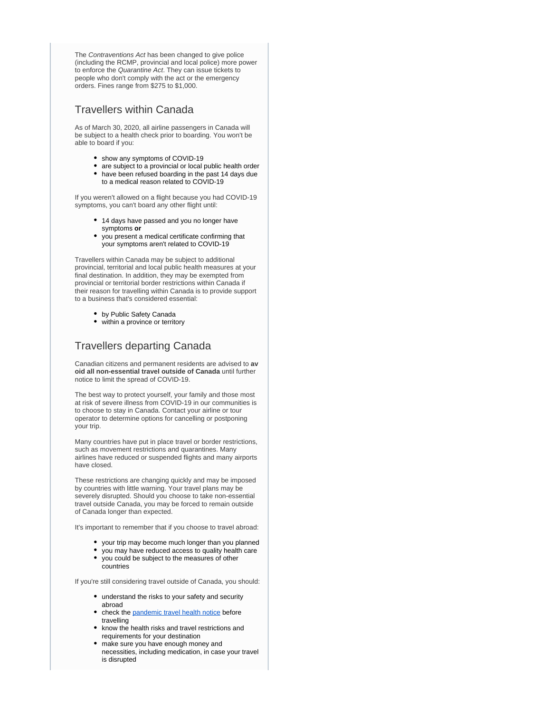The Contraventions Act has been changed to give police (including the RCMP, provincial and local police) more power to enforce the Quarantine Act. They can issue tickets to people who don't comply with the act or the emergency orders. Fines range from \$275 to \$1,000.

## Travellers within Canada

As of March 30, 2020, all airline passengers in Canada will be subject to a health check prior to boarding. You won't be able to board if you:

- show any symptoms of COVID-19
- are subject to a provincial or local public health order  $\bullet$ have been refused boarding in the past 14 days due to a medical reason related to COVID-19

If you weren't allowed on a flight because you had COVID-19 symptoms, you can't board any other flight until:

- 14 days have passed and you no longer have symptoms **or**
- you present a medical certificate confirming that your symptoms aren't related to COVID-19

Travellers within Canada may be subject to additional provincial, territorial and local public health measures at your final destination. In addition, they may be exempted from provincial or territorial border restrictions within Canada if their reason for travelling within Canada is to provide support to a business that's considered essential:

- by Public Safety Canada
- within a province or territory

## Travellers departing Canada

Canadian citizens and permanent residents are advised to **av oid all non-essential travel outside of Canada** until further notice to limit the spread of COVID-19.

The best way to protect yourself, your family and those most at risk of severe illness from COVID-19 in our communities is to choose to stay in Canada. Contact your airline or tour operator to determine options for cancelling or postponing your trip.

Many countries have put in place travel or border restrictions, such as movement restrictions and quarantines. Many airlines have reduced or suspended flights and many airports have closed.

These restrictions are changing quickly and may be imposed by countries with little warning. Your travel plans may be severely disrupted. Should you choose to take non-essential travel outside Canada, you may be forced to remain outside of Canada longer than expected.

It's important to remember that if you choose to travel abroad:

- your trip may become much longer than you planned
- you may have reduced access to quality health care
- you could be subject to the measures of other countries

If you're still considering travel outside of Canada, you should:

- understand the risks to your safety and security abroad
- check the [pandemic travel health notice](https://travel.gc.ca/travelling/health-safety/travel-health-notices/221) before travelling
- know the health risks and travel restrictions and requirements for your destination
- make sure you have enough money and necessities, including medication, in case your travel is disrupted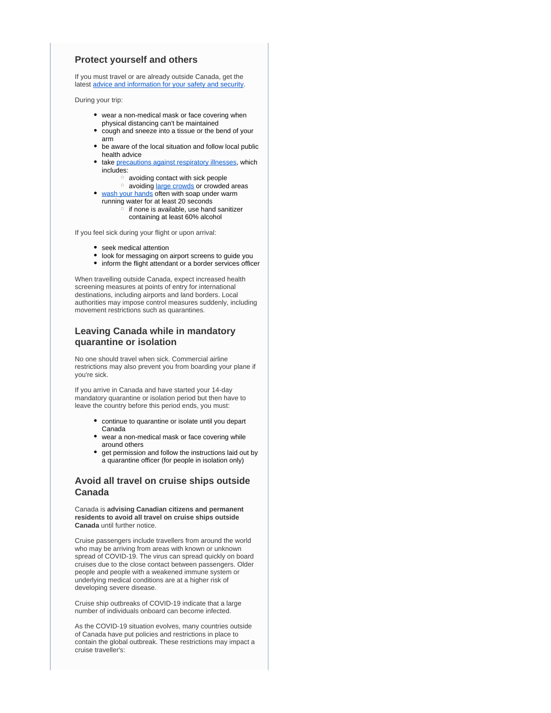#### **Protect yourself and others**

If you must travel or are already outside Canada, get the latest [advice and information for your safety and security.](https://travel.gc.ca/travelling/health-safety/covid-19-security)

During your trip:

- wear a non-medical mask or face covering when physical distancing can't be maintained
- cough and sneeze into a tissue or the bend of your arm
- be aware of the local situation and follow local public health advice
- take [precautions against respiratory illnesses,](https://www.canada.ca/en/public-health/services/diseases/2019-novel-coronavirus-infection/prevention-risks.html#p) which includes:
	- avoiding contact with sick people
	- <sup>o</sup> avoiding [large crowds](https://travel.gc.ca/travelling/health-safety/mass-gatherings) or crowded areas
- [wash your hands](https://www.canada.ca/en/health-canada/services/healthy-living/your-health/diseases/benefits-hand-washing.html) often with soap under warm running water for at least 20 seconds if none is available, use hand sanitizer
	- containing at least 60% alcohol

If you feel sick during your flight or upon arrival:

- seek medical attention
- look for messaging on airport screens to guide you
- inform the flight attendant or a border services officer

When travelling outside Canada, expect increased health screening measures at points of entry for international destinations, including airports and land borders. Local authorities may impose control measures suddenly, including movement restrictions such as quarantines.

### **Leaving Canada while in mandatory quarantine or isolation**

No one should travel when sick. Commercial airline restrictions may also prevent you from boarding your plane if you're sick.

If you arrive in Canada and have started your 14-day mandatory quarantine or isolation period but then have to leave the country before this period ends, you must:

- continue to quarantine or isolate until you depart Canada
- wear a non-medical mask or face covering while around others
- get permission and follow the instructions laid out by a quarantine officer (for people in isolation only)

#### **Avoid all travel on cruise ships outside Canada**

Canada is **advising Canadian citizens and permanent residents to avoid all travel on cruise ships outside Canada** until further notice.

Cruise passengers include travellers from around the world who may be arriving from areas with known or unknown spread of COVID-19. The virus can spread quickly on board cruises due to the close contact between passengers. Older people and people with a weakened immune system or underlying medical conditions are at a higher risk of developing severe disease.

Cruise ship outbreaks of COVID-19 indicate that a large number of individuals onboard can become infected.

As the COVID-19 situation evolves, many countries outside of Canada have put policies and restrictions in place to contain the global outbreak. These restrictions may impact a cruise traveller's: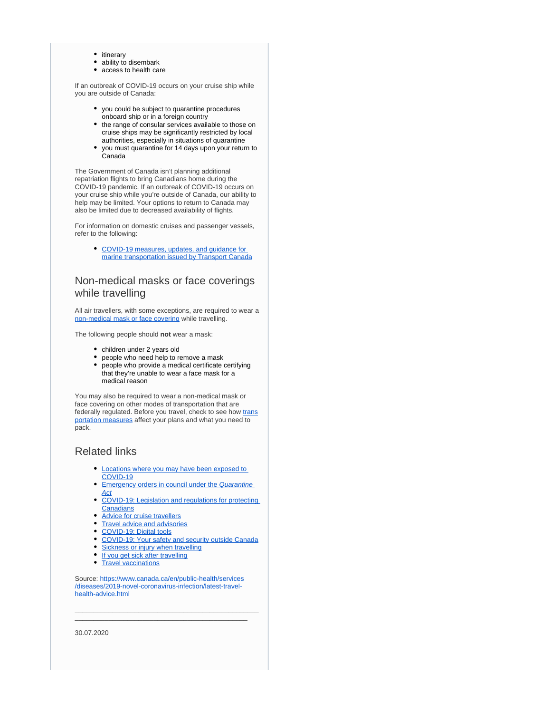- itinerary
- ability to disembark
- access to health care

If an outbreak of COVID-19 occurs on your cruise ship while you are outside of Canada:

- you could be subject to quarantine procedures onboard ship or in a foreign country
- the range of consular services available to those on cruise ships may be significantly restricted by local authorities, especially in situations of quarantine
- you must quarantine for 14 days upon your return to Canada

The Government of Canada isn't planning additional repatriation flights to bring Canadians home during the COVID-19 pandemic. If an outbreak of COVID-19 occurs on your cruise ship while you're outside of Canada, our ability to help may be limited. Your options to return to Canada may also be limited due to decreased availability of flights.

For information on domestic cruises and passenger vessels, refer to the following:

> [COVID-19 measures, updates, and guidance for](https://tc.canada.ca/en/initiatives/covid-19-measures-updates-guidance-issued-transport-canada/covid-19-measures-updates-guidance-marine-transportation-issued-transport-canada)  [marine transportation issued by Transport Canada](https://tc.canada.ca/en/initiatives/covid-19-measures-updates-guidance-issued-transport-canada/covid-19-measures-updates-guidance-marine-transportation-issued-transport-canada)

## Non-medical masks or face coverings while travelling

All air travellers, with some exceptions, are required to wear a [non-medical mask or face covering](https://www.canada.ca/en/public-health/services/diseases/2019-novel-coronavirus-infection/prevention-risks/about-non-medical-masks-face-coverings.html) while travelling.

The following people should **not** wear a mask:

- children under 2 years old
- people who need help to remove a mask
- people who provide a medical certificate certifying  $\bullet$ that they're unable to wear a face mask for a medical reason

You may also be required to wear a non-medical mask or face covering on other modes of transportation that are federally regulated. Before you travel, check to see how [trans](https://www.tc.gc.ca/en/initiatives/covid-19-measures-updates-guidance-tc/covid-19-information-for-travellers.html) [portation measures](https://www.tc.gc.ca/en/initiatives/covid-19-measures-updates-guidance-tc/covid-19-information-for-travellers.html) affect your plans and what you need to pack.

## Related links

- [Locations where you may have been exposed to](https://www.canada.ca/en/public-health/services/diseases/2019-novel-coronavirus-infection/latest-travel-health-advice/exposure-flights-cruise-ships-mass-gatherings.html)  [COVID-19](https://www.canada.ca/en/public-health/services/diseases/2019-novel-coronavirus-infection/latest-travel-health-advice/exposure-flights-cruise-ships-mass-gatherings.html)
- **[Emergency orders in council under the](https://www.canada.ca/en/public-health/corporate/mandate/about-agency/acts-regulations/list-acts-regulations.html#emergency) Quarantine** [Act](https://www.canada.ca/en/public-health/corporate/mandate/about-agency/acts-regulations/list-acts-regulations.html#emergency)
- COVID-19: Legislation and regulations for protecting **[Canadians](https://www.justice.gc.ca/eng/csj-sjc/covid.html)**
- [Advice for cruise travellers](https://travel.gc.ca/travelling/publications/advice-for-cruise-travellers)
- [Travel advice and advisories](https://travel.gc.ca/travelling/advisories#wb-cont)
- [COVID-19: Digital tools](https://www.canada.ca/en/government/system/digital-government/digital-government-response-to-covid-19.html)
- [COVID-19: Your safety and security outside Canada](https://travel.gc.ca/travelling/health-safety/covid-19-security?_ga=2.163873207.906763293.1585171685-365691667.1584457654)
- [Sickness or injury when travelling](https://travel.gc.ca/assistance/emergency-info/sick-injured)
- [If you get sick after travelling](https://travel.gc.ca/returning/sick)
- [Travel vaccinations](https://travel.gc.ca/travelling/health-safety/vaccines)

Source: [https://www.canada.ca/en/public-health/services](https://www.canada.ca/en/public-health/services/diseases/2019-novel-coronavirus-infection/latest-travel-health-advice.html) [/diseases/2019-novel-coronavirus-infection/latest-travel](https://www.canada.ca/en/public-health/services/diseases/2019-novel-coronavirus-infection/latest-travel-health-advice.html)[health-advice.html](https://www.canada.ca/en/public-health/services/diseases/2019-novel-coronavirus-infection/latest-travel-health-advice.html)

\_\_\_\_\_\_\_\_\_\_\_\_\_\_\_\_\_\_\_\_\_\_\_\_\_\_\_\_\_\_\_\_\_\_\_\_\_\_\_\_\_\_\_\_\_\_\_\_\_ \_\_\_\_\_\_\_\_\_\_\_\_\_\_\_\_\_\_\_\_\_\_\_\_\_\_\_\_\_\_\_\_\_\_\_\_\_\_\_\_\_\_\_\_\_\_

30.07.2020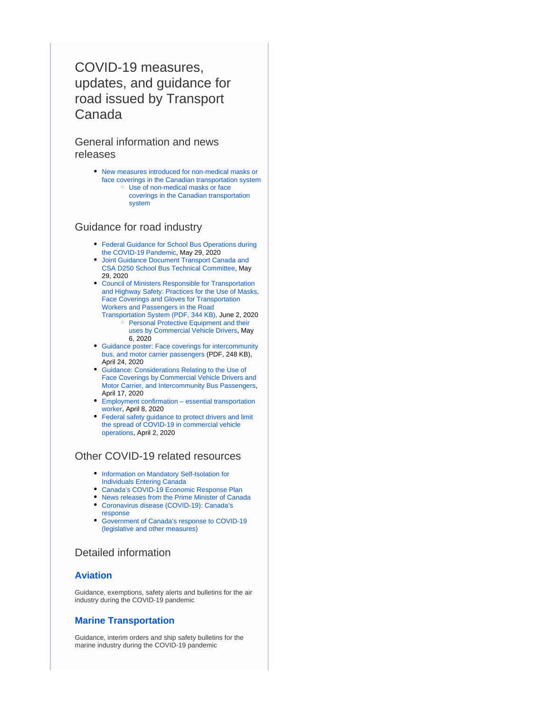## COVID-19 measures, updates, and guidance for road issued by Transport Canada

## General information and news releases

[New measures introduced for non-medical masks or](https://www.canada.ca/en/transport-canada/news/2020/04/new-measures-introduced-for-non-medical-masks-or-face-coverings-in-the-canadian-transportation-system.html)  [face coverings in the Canadian transportation system](https://www.canada.ca/en/transport-canada/news/2020/04/new-measures-introduced-for-non-medical-masks-or-face-coverings-in-the-canadian-transportation-system.html) [Use of non-medical masks or face](https://www.canada.ca/en/transport-canada/news/2020/04/use-of-non-medical-masks-or-face-coverings-in-the-canadian-transportation-system.html)  [coverings in the Canadian transportation](https://www.canada.ca/en/transport-canada/news/2020/04/use-of-non-medical-masks-or-face-coverings-in-the-canadian-transportation-system.html)  [system](https://www.canada.ca/en/transport-canada/news/2020/04/use-of-non-medical-masks-or-face-coverings-in-the-canadian-transportation-system.html)

## Guidance for road industry

- [Federal Guidance for School Bus Operations during](https://tc.canada.ca/en/services/road/federal-guidance-school-bus-operations-during-COVID-19-pandemic.html)  [the COVID-19 Pandemic,](https://tc.canada.ca/en/services/road/federal-guidance-school-bus-operations-during-COVID-19-pandemic.html) May 29, 2020
- [Joint Guidance Document Transport Canada and](https://tc.canada.ca/en/services/road/joint-guidance-document-transport-canada-csa-d250-school-bus-technical-committee.html)  [CSA D250 School Bus Technical Committee](https://tc.canada.ca/en/services/road/joint-guidance-document-transport-canada-csa-d250-school-bus-technical-committee.html), May 29, 2020
- [Council of Ministers Responsible for Transportation](https://www.comt.ca/Reports/Practices for the Use of PPE in Road Transportation.pdf)  [and Highway Safety: Practices for the Use of Masks,](https://www.comt.ca/Reports/Practices for the Use of PPE in Road Transportation.pdf)  [Face Coverings and Gloves for Transportation](https://www.comt.ca/Reports/Practices for the Use of PPE in Road Transportation.pdf)  Workers and Passengers in the Road
	- [Transportation System \(PDF, 344 KB\),](https://www.comt.ca/Reports/Practices for the Use of PPE in Road Transportation.pdf) June 2, 2020 <sup>o</sup> Personal Protective Equipment and their [uses by Commercial Vehicle Drivers,](https://tc.canada.ca/en/covid-19-measures-updates-guidance-issued-transport-canada/personal-protective-equipment-their-uses-commercial-vehicle-drivers) May 6, 2020
- [Guidance poster: Face coverings for intercommunity](https://tc.canada.ca/documents/2019-2020-AA-36-COVID-19_10_BUS_MASKS_17X11_EN.PDF)  [bus, and motor carrier passengers](https://tc.canada.ca/documents/2019-2020-AA-36-COVID-19_10_BUS_MASKS_17X11_EN.PDF) (PDF, 248 KB), April 24, 2020
- [Guidance: Considerations Relating to the Use of](https://www.tc.gc.ca/eng/motorvehiclesafety/considerations-relating-use-face-coverings-commercial-vehicle-drivers-motor-carrier-intercommunity-bus-passengers.html)  [Face Coverings by Commercial Vehicle Drivers and](https://www.tc.gc.ca/eng/motorvehiclesafety/considerations-relating-use-face-coverings-commercial-vehicle-drivers-motor-carrier-intercommunity-bus-passengers.html)  [Motor Carrier, and Intercommunity Bus Passengers](https://www.tc.gc.ca/eng/motorvehiclesafety/considerations-relating-use-face-coverings-commercial-vehicle-drivers-motor-carrier-intercommunity-bus-passengers.html), April 17, 2020
- [Employment confirmation essential transportation](https://www.tc.gc.ca/eng/motorvehiclesafety/employment-confirmation-essential-transportation-worker.html)  [worker,](https://www.tc.gc.ca/eng/motorvehiclesafety/employment-confirmation-essential-transportation-worker.html) April 8, 2020
- [Federal safety guidance to protect drivers and limit](https://www.tc.gc.ca/eng/motorvehiclesafety/federal-safety-guidance-protect-drivers-limit-spread-covid-19-commercial-vehicle-operations.html)  [the spread of COVID-19 in commercial vehicle](https://www.tc.gc.ca/eng/motorvehiclesafety/federal-safety-guidance-protect-drivers-limit-spread-covid-19-commercial-vehicle-operations.html)  [operations](https://www.tc.gc.ca/eng/motorvehiclesafety/federal-safety-guidance-protect-drivers-limit-spread-covid-19-commercial-vehicle-operations.html), April 2, 2020

## Other COVID-19 related resources

- **Information on Mandatory Self-Isolation for** [Individuals Entering Canada](https://www.canada.ca/en/public-health/news/2020/03/new-order-makes-self-isolation-mandatory-for-individuals-entering-canada.html)
- [Canada's COVID-19 Economic Response Plan](https://www.canada.ca/en/department-finance/economic-response-plan.html)
- [News releases from the Prime Minister of Canada](https://pm.gc.ca/en/news/releases)
- [Coronavirus disease \(COVID-19\): Canada's](https://www.canada.ca/en/public-health/services/diseases/2019-novel-coronavirus-infection/canadas-reponse.html?topic=tilelink)  [response](https://www.canada.ca/en/public-health/services/diseases/2019-novel-coronavirus-infection/canadas-reponse.html?topic=tilelink)
- [Government of Canada's response to COVID-19](https://www.justice.gc.ca/eng/csj-sjc/covid.html)  [\(legislative and other measures\)](https://www.justice.gc.ca/eng/csj-sjc/covid.html)

## Detailed information

#### **[Aviation](https://tc.canada.ca/en/initiatives/covid-19-measures-updates-guidance-issued-transport-canada/covid-19-measures-updates-guidance-aviation-issued-transport-canada)**

Guidance, exemptions, safety alerts and bulletins for the air industry during the COVID-19 pandemic

## **[Marine Transportation](https://tc.canada.ca/en/initiatives/covid-19-measures-updates-guidance-issued-transport-canada/covid-19-measures-updates-guidance-marine-transportation-issued-transport-canada)**

Guidance, interim orders and ship safety bulletins for the marine industry during the COVID-19 pandemic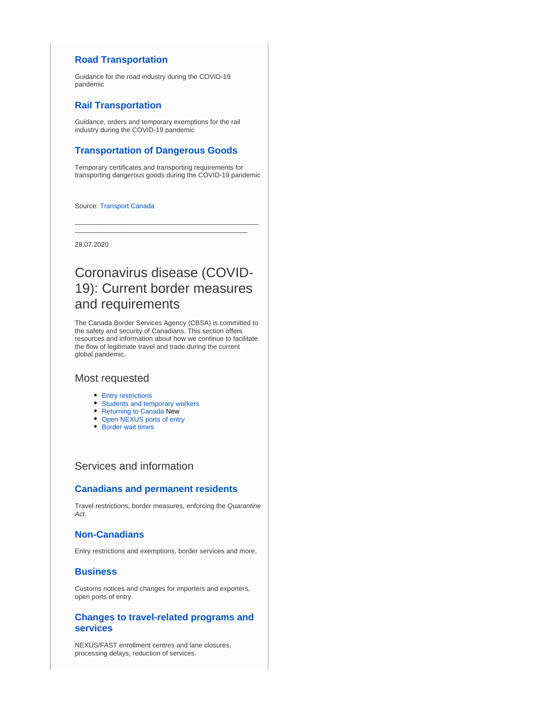#### **[Road Transportation](https://tc.canada.ca/en/initiatives/covid-19-measures-updates-guidance-issued-transport-canada/covid-19-measures-updates-guidance-road-issued-transport-canada)**

Guidance for the road industry during the COVID-19 pandemic

#### **[Rail Transportation](https://tc.canada.ca/en/initiatives/covid-19-measures-updates-guidance-issued-transport-canada/covid-19-measures-updates-guidance-rail-issued-transport-canada)**

Guidance, orders and temporary exemptions for the rail industry during the COVID-19 pandemic

#### **[Transportation of Dangerous Goods](https://tc.canada.ca/en/initiatives/covid-19-measures-updates-guidance-issued-transport-canada/covid-19-measures-updates-guidance-transportation-dangerous-goods-issued-transport-canada)**

Temporary certificates and transporting requirements for transporting dangerous goods during the COVID-19 pandemic

\_\_\_\_\_\_\_\_\_\_\_\_\_\_\_\_\_\_\_\_\_\_\_\_\_\_\_\_\_\_\_\_\_\_\_\_\_\_\_\_\_\_\_\_\_\_\_\_\_ \_\_\_\_\_\_\_\_\_\_\_\_\_\_\_\_\_\_\_\_\_\_\_\_\_\_\_\_\_\_\_\_\_\_\_\_\_\_\_\_\_\_\_\_\_\_

Source: [Transport Canada](https://tc.canada.ca/en)

28.07.2020

## Coronavirus disease (COVID-19): Current border measures and requirements

The Canada Border Services Agency (CBSA) is committed to the safety and security of Canadians. This section offers resources and information about how we continue to facilitate the flow of legitimate travel and trade during the current global pandemic.

#### Most requested

- [Entry restrictions](https://www.cbsa-asfc.gc.ca/services/covid/non-canadians-canadiens-eng.html#s1)
- [Students and temporary workers](https://www.cbsa-asfc.gc.ca/services/covid/non-canadians-canadiens-eng.html#s3)
- [Returning to Canada](https://www.cbsa-asfc.gc.ca/services/covid/canadians-canadiens-eng.html#s2) New
- [Open NEXUS ports of entry](https://www.cbsa-asfc.gc.ca/prog/nexus/land-terre-eng.html#where-ou)
- [Border wait times](https://www.cbsa-asfc.gc.ca/bwt-taf/menu-eng.html)

## Services and information

#### **[Canadians and permanent residents](https://www.cbsa-asfc.gc.ca/services/covid/canadians-canadiens-eng.html)**

Travel restrictions, border measures, enforcing the Quarantine Act.

#### **[Non-Canadians](https://www.cbsa-asfc.gc.ca/services/covid/non-canadians-canadiens-eng.html)**

Entry restrictions and exemptions, border services and more.

#### **[Business](https://www.cbsa-asfc.gc.ca/services/covid/business-affaires-eng.html)**

Customs notices and changes for importers and exporters, open ports of entry.

### **[Changes to travel-related programs and](https://www.cbsa-asfc.gc.ca/services/covid/changes-changements-eng.html)  [services](https://www.cbsa-asfc.gc.ca/services/covid/changes-changements-eng.html)**

NEXUS/FAST enrollment centres and lane closures, processing delays, reduction of services.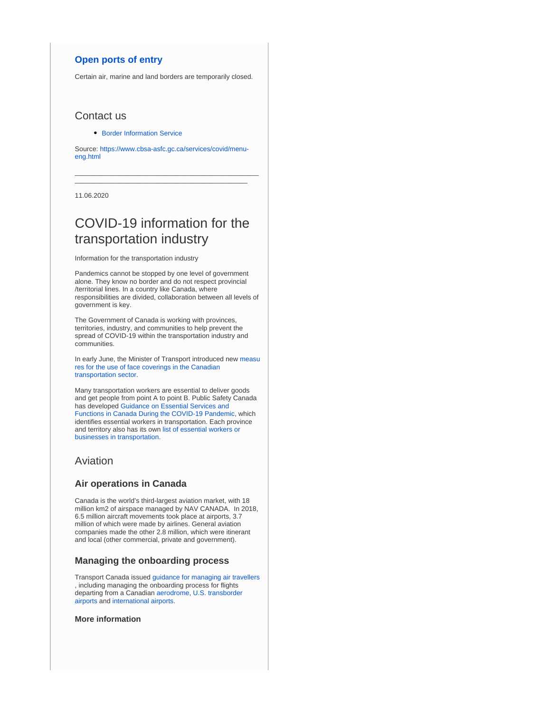#### **[Open ports of entry](https://www.cbsa-asfc.gc.ca/do-rb/openpoe-temp-pdeouvert/air-aerien-eng.html)**

Certain air, marine and land borders are temporarily closed.

### Contact us

**• [Border Information Service](https://www.cbsa-asfc.gc.ca/contact/bis-sif-eng.html)** 

Source: [https://www.cbsa-asfc.gc.ca/services/covid/menu](https://www.cbsa-asfc.gc.ca/services/covid/menu-eng.html)[eng.html](https://www.cbsa-asfc.gc.ca/services/covid/menu-eng.html)

\_\_\_\_\_\_\_\_\_\_\_\_\_\_\_\_\_\_\_\_\_\_\_\_\_\_\_\_\_\_\_\_\_\_\_\_\_\_\_\_\_\_\_\_\_\_\_\_\_ \_\_\_\_\_\_\_\_\_\_\_\_\_\_\_\_\_\_\_\_\_\_\_\_\_\_\_\_\_\_\_\_\_\_\_\_\_\_\_\_\_\_\_\_\_\_

11.06.2020

# COVID-19 information for the transportation industry

Information for the transportation industry

Pandemics cannot be stopped by one level of government alone. They know no border and do not respect provincial /territorial lines. In a country like Canada, where responsibilities are divided, collaboration between all levels of government is key.

The Government of Canada is working with provinces, territories, industry, and communities to help prevent the spread of COVID-19 within the transportation industry and communities.

In early June, the Minister of Transport introduced new [measu](https://tc.canada.ca/en/initiatives/covid-19-measures-updates-guidance-issued-transport-canada/backgrounder-new-measures-introduced-use-face-coverings-canadian-transportation-sector) [res for the use of face coverings in the Canadian](https://tc.canada.ca/en/initiatives/covid-19-measures-updates-guidance-issued-transport-canada/backgrounder-new-measures-introduced-use-face-coverings-canadian-transportation-sector)  [transportation sector.](https://tc.canada.ca/en/initiatives/covid-19-measures-updates-guidance-issued-transport-canada/backgrounder-new-measures-introduced-use-face-coverings-canadian-transportation-sector)

Many transportation workers are essential to deliver goods and get people from point A to point B. Public Safety Canada has developed [Guidance on Essential Services and](https://www.publicsafety.gc.ca/cnt/ntnl-scrt/crtcl-nfrstrctr/esf-sfe-en.aspx)  [Functions in Canada During the COVID-19 Pandemic,](https://www.publicsafety.gc.ca/cnt/ntnl-scrt/crtcl-nfrstrctr/esf-sfe-en.aspx) which identifies essential workers in transportation. Each province and territory also has its own [list of essential workers or](https://tc.canada.ca/en/initiatives/covid-19-measures-updates-guidance-issued-transport-canada/covid-19-information-transportation-industry#PT)  [businesses in transportation.](https://tc.canada.ca/en/initiatives/covid-19-measures-updates-guidance-issued-transport-canada/covid-19-information-transportation-industry#PT)

## Aviation

#### **Air operations in Canada**

Canada is the world's third-largest aviation market, with 18 million km2 of airspace managed by NAV CANADA. In 2018, 6.5 million aircraft movements took place at airports, 3.7 million of which were made by airlines. General aviation companies made the other 2.8 million, which were itinerant and local (other commercial, private and government).

#### **Managing the onboarding process**

Transport Canada issued [guidance for managing air travellers](https://tc.canada.ca/en/initiatives/covid-19-measures-updates-guidance-issued-transport-canada/covid-19-measures-updates-guidance-aviation-issued-transport-canada) , including managing the onboarding process for flights departing from a Canadian [aerodrome](https://tc.canada.ca/en/initiatives/covid-19-measures-updates-guidance-tc/guidance-material-air-operators), [U.S. transborder](https://tc.canada.ca/en/initiatives/covid-19-measures-updates-guidance-issued-transport-canada/air-operators-managing-travellers-during-check-procedure-transborder-us-airports)  [airports](https://tc.canada.ca/en/initiatives/covid-19-measures-updates-guidance-issued-transport-canada/air-operators-managing-travellers-during-check-procedure-transborder-us-airports) and [international airports.](https://tc.canada.ca/en/initiatives/covid-19-measures-updates-guidance-issued-transport-canada/air-operators-managing-travellers-during-check-procedure-international-airports)

#### **More information**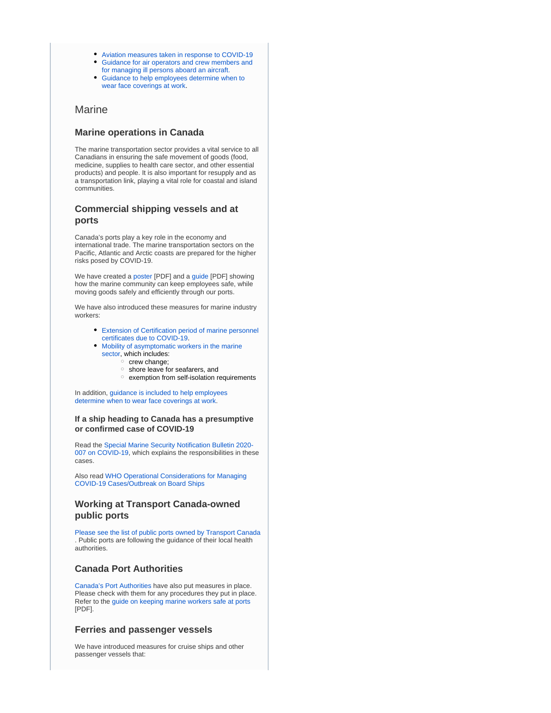- [Aviation measures taken in response to COVID-19](https://tc.canada.ca/en/initiatives/covid-19-measures-updates-guidance-tc/aviation-measures) [Guidance for air operators and crew members and](https://tc.canada.ca/en/initiatives/covid-19-measures-updates-guidance-tc/covid-19-guidance-canadian-aviation-industry)
- [for managing ill persons aboard an aircraft.](https://tc.canada.ca/en/initiatives/covid-19-measures-updates-guidance-tc/covid-19-guidance-canadian-aviation-industry)
- [Guidance to help employees determine when to](https://tc.canada.ca/en/initiatives/covid-19-measures-updates-guidance-issued-transport-canada/backgrounder-new-measures-introduced-use-face-coverings-canadian-transportation-sector)  [wear face coverings at work](https://tc.canada.ca/en/initiatives/covid-19-measures-updates-guidance-issued-transport-canada/backgrounder-new-measures-introduced-use-face-coverings-canadian-transportation-sector).

### Marine

#### **Marine operations in Canada**

The marine transportation sector provides a vital service to all Canadians in ensuring the safe movement of goods (food, medicine, supplies to health care sector, and other essential products) and people. It is also important for resupply and as a transportation link, playing a vital role for coastal and island communities.

#### **Commercial shipping vessels and at ports**

Canada's ports play a key role in the economy and international trade. The marine transportation sectors on the Pacific, Atlantic and Arctic coasts are prepared for the higher risks posed by COVID-19.

We have created a [poster](https://tc.canada.ca/sites/default/files/2020-08/20-AA-35-HEALTH%20REPORTING%20SHIPS%2017X11_EN_v2.pdf) [PDF] and a [guide](https://tc.canada.ca/sites/default/files/2020-07/keeping-you-safe-at-work_acc.pdf) [PDF] showing how the marine community can keep employees safe, while moving goods safely and efficiently through our ports.

We have also introduced these measures for marine industry workers:

- [Extension of Certification period of marine personnel](https://tc.canada.ca/en/marine-transportation/marine-safety/ship-safety-bulletins/temporary-measures-regarding-marine-personnel-certificates-discharge-books-marine-counter-services-ssb-no-13-2020)  [certificates due to COVID-19.](https://tc.canada.ca/en/marine-transportation/marine-safety/ship-safety-bulletins/temporary-measures-regarding-marine-personnel-certificates-discharge-books-marine-counter-services-ssb-no-13-2020)
- [Mobility of asymptomatic workers in the marine](https://tc.canada.ca/en/marine-transportation/marine-safety/ship-safety-bulletins/mobility-asymptomatic-workers-marine-sector-during-covid-19-ssb-no-09-2020)  [sector,](https://tc.canada.ca/en/marine-transportation/marine-safety/ship-safety-bulletins/mobility-asymptomatic-workers-marine-sector-during-covid-19-ssb-no-09-2020) which includes:
	- $\circ$  crew change;
	- o shore leave for seafarers, and
	- o exemption from self-isolation requirements

In addition, [guidance is included to help employees](https://tc.canada.ca/en/initiatives/covid-19-measures-updates-guidance-issued-transport-canada/backgrounder-new-measures-introduced-use-face-coverings-canadian-transportation-sector)  [determine when to wear face coverings at work](https://tc.canada.ca/en/initiatives/covid-19-measures-updates-guidance-issued-transport-canada/backgrounder-new-measures-introduced-use-face-coverings-canadian-transportation-sector).

#### **If a ship heading to Canada has a presumptive or confirmed case of COVID-19**

Read the [Special Marine Security Notification Bulletin 2020-](https://tc.canada.ca/en/marine-transportation/marine-security/operations/special-marine-security-notification-2020-007) [007 on COVID-19,](https://tc.canada.ca/en/marine-transportation/marine-security/operations/special-marine-security-notification-2020-007) which explains the responsibilities in these cases.

Also read [WHO Operational Considerations for Managing](https://www.who.int/publications-detail/operational-considerations-for-managing-covid-19-cases-outbreak-on-board-ships)  [COVID-19 Cases/Outbreak on Board Ships](https://www.who.int/publications-detail/operational-considerations-for-managing-covid-19-cases-outbreak-on-board-ships)

#### **Working at Transport Canada-owned public ports**

[Please see the list of public ports owned by Transport Canada](https://tc.canada.ca/en/marine-transportation/ports-harbours-anchorages/list-ports-owned-transport-canada) . Public ports are following the guidance of their local health authorities.

#### **Canada Port Authorities**

[Canada's Port Authorities](https://tc.canada.ca/en/marine-transportation/ports-harbours-anchorages/list-canada-port-authorities) have also put measures in place. Please check with them for any procedures they put in place. Refer to the [guide on keeping marine workers safe at ports](https://tc.canada.ca/sites/default/files/2020-07/keeping-you-safe-at-work_acc.pdf) [PDF].

#### **Ferries and passenger vessels**

We have introduced measures for cruise ships and other passenger vessels that: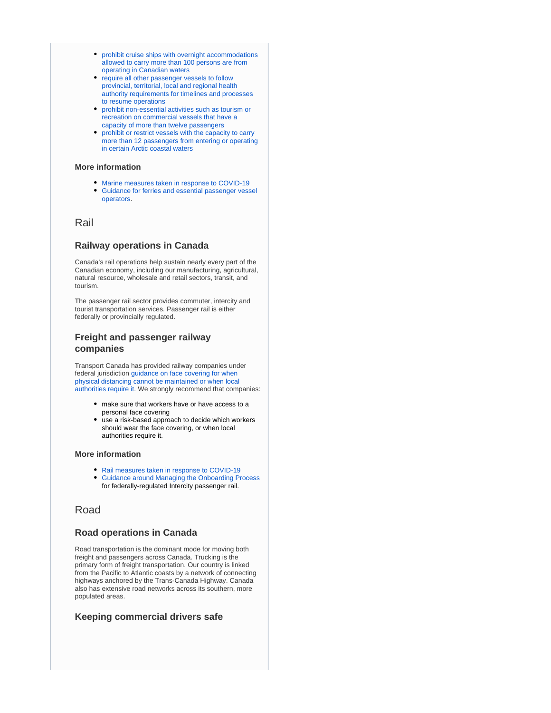- [prohibit cruise ships with overnight accommodations](https://www.tc.gc.ca/en/initiatives/covid-19-measures-updates-guidance-tc/backgrounder-updated-covid-19-measures-cruise-ships-other-passenger-vessels.html)  [allowed to carry more than 100 persons are from](https://www.tc.gc.ca/en/initiatives/covid-19-measures-updates-guidance-tc/backgrounder-updated-covid-19-measures-cruise-ships-other-passenger-vessels.html)  [operating in Canadian waters](https://www.tc.gc.ca/en/initiatives/covid-19-measures-updates-guidance-tc/backgrounder-updated-covid-19-measures-cruise-ships-other-passenger-vessels.html)
- require all other passenger vessels to follow [provincial, territorial, local and regional health](https://www.canada.ca/en/transport-canada/news/2020/05/minister-garneau-announces-updated-measures-for-cruise-ships-and-passenger-vessels-in-canadian-waters-up-to-october-31-2020.html)  [authority requirements for timelines and processes](https://www.canada.ca/en/transport-canada/news/2020/05/minister-garneau-announces-updated-measures-for-cruise-ships-and-passenger-vessels-in-canadian-waters-up-to-october-31-2020.html)  [to resume operations](https://www.canada.ca/en/transport-canada/news/2020/05/minister-garneau-announces-updated-measures-for-cruise-ships-and-passenger-vessels-in-canadian-waters-up-to-october-31-2020.html)
- [prohibit non-essential activities such as tourism or](https://tc.canada.ca/en/covid-19-measures-updates-guidance-issued-transport-canada/backgrounder-covid-19-safety-requirements-commercial-passenger-vessels-ferries)  [recreation on commercial vessels that have a](https://tc.canada.ca/en/covid-19-measures-updates-guidance-issued-transport-canada/backgrounder-covid-19-safety-requirements-commercial-passenger-vessels-ferries)  [capacity of more than twelve passengers](https://tc.canada.ca/en/covid-19-measures-updates-guidance-issued-transport-canada/backgrounder-covid-19-safety-requirements-commercial-passenger-vessels-ferries)
- prohibit or restrict vessels with the capacity to carry [more than 12 passengers from entering or operating](https://www.tc.gc.ca/en/initiatives/covid-19-measures-updates-guidance-tc/backgrounder-updated-covid-19-measures-cruise-ships-other-passenger-vessels.html)  [in certain Arctic coastal waters](https://www.tc.gc.ca/en/initiatives/covid-19-measures-updates-guidance-tc/backgrounder-updated-covid-19-measures-cruise-ships-other-passenger-vessels.html)

#### **More information**

[Marine measures taken in response to COVID-19](https://tc.canada.ca/en/initiatives/covid-19-measures-updates-guidance-issued-transport-canada/covid-19-measures-updates-guidance-marine-transportation-issued-transport-canada) [Guidance for ferries and essential passenger vessel](https://tc.canada.ca/en/initiatives/covid-19-measures-updates-guidance-issued-transport-canada/covid-19-guidance-material-essential-passenger-vessel-ferry-operators)  [operators.](https://tc.canada.ca/en/initiatives/covid-19-measures-updates-guidance-issued-transport-canada/covid-19-guidance-material-essential-passenger-vessel-ferry-operators)

### Rail

#### **Railway operations in Canada**

Canada's rail operations help sustain nearly every part of the Canadian economy, including our manufacturing, agricultural, natural resource, wholesale and retail sectors, transit, and tourism.

The passenger rail sector provides commuter, intercity and tourist transportation services. Passenger rail is either federally or provincially regulated.

#### **Freight and passenger railway companies**

Transport Canada has provided railway companies under federal jurisdiction [guidance on face covering for when](https://tc.canada.ca/en/initiatives/covid-19-measures-updates-guidance-issued-transport-canada/covid-19-information-transportation-industry#_When_Should_I)  [physical distancing cannot be maintained or when local](https://tc.canada.ca/en/initiatives/covid-19-measures-updates-guidance-issued-transport-canada/covid-19-information-transportation-industry#_When_Should_I)  [authorities require it](https://tc.canada.ca/en/initiatives/covid-19-measures-updates-guidance-issued-transport-canada/covid-19-information-transportation-industry#_When_Should_I). We strongly recommend that companies:

- make sure that workers have or have access to a personal face covering
- $\bullet$ use a risk-based approach to decide which workers should wear the face covering, or when local authorities require it.

#### **More information**

- [Rail measures taken in response to COVID-19](https://tc.canada.ca/en/initiatives/covid-19-measures-updates-guidance-issued-transport-canada/covid-19-measures-updates-guidance-rail-issued-transport-canada)
- [Guidance around Managing the Onboarding Process](https://tc.canada.ca/en/rail-transportation/covid-19-health-check-guidance-passenger-railway-companies-managing-travellers-during-boarding-procedure) for federally-regulated Intercity passenger rail.

## Road

#### **Road operations in Canada**

Road transportation is the dominant mode for moving both freight and passengers across Canada. Trucking is the primary form of freight transportation. Our country is linked from the Pacific to Atlantic coasts by a network of connecting highways anchored by the Trans-Canada Highway. Canada also has extensive road networks across its southern, more populated areas.

#### **Keeping commercial drivers safe**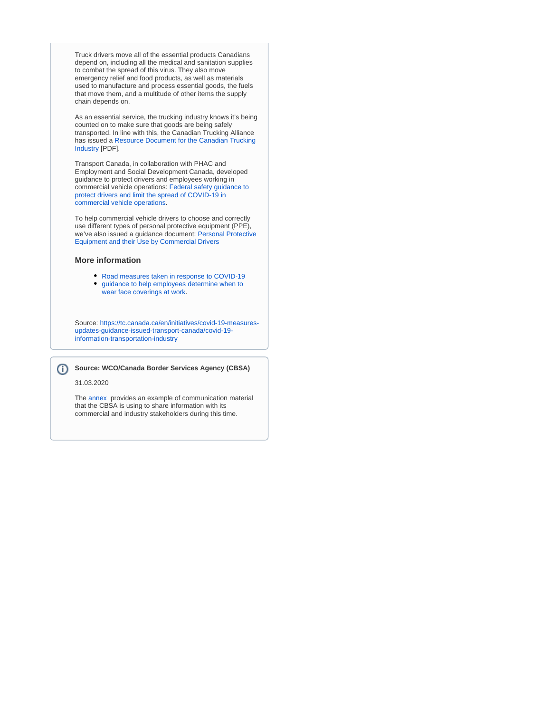Truck drivers move all of the essential products Canadians depend on, including all the medical and sanitation supplies to combat the spread of this virus. They also move emergency relief and food products, as well as materials used to manufacture and process essential goods, the fuels that move them, and a multitude of other items the supply chain depends on.

As an essential service, the trucking industry knows it's being counted on to make sure that goods are being safely transported. In line with this, the Canadian Trucking Alliance has issued a [Resource Document for the Canadian Trucking](http://cantruck.ca/wp-content/uploads/2020/04/CTA-ResourceDoc-TruckingIndustryV2_public.pdf)  [Industry](http://cantruck.ca/wp-content/uploads/2020/04/CTA-ResourceDoc-TruckingIndustryV2_public.pdf) [PDF].

Transport Canada, in collaboration with PHAC and Employment and Social Development Canada, developed guidance to protect drivers and employees working in commercial vehicle operations: [Federal safety guidance to](https://tc.canada.ca/en/covid-19-measures-updates-guidance-issued-transport-canada/federal-safety-guidance-protect-drivers-limit-spread-covid-19-commercial-vehicle-operations)  [protect drivers and limit the spread of COVID-19 in](https://tc.canada.ca/en/covid-19-measures-updates-guidance-issued-transport-canada/federal-safety-guidance-protect-drivers-limit-spread-covid-19-commercial-vehicle-operations)  [commercial vehicle operations](https://tc.canada.ca/en/covid-19-measures-updates-guidance-issued-transport-canada/federal-safety-guidance-protect-drivers-limit-spread-covid-19-commercial-vehicle-operations).

To help commercial vehicle drivers to choose and correctly use different types of personal protective equipment (PPE), we've also issued a guidance document: [Personal Protective](https://tc.canada.ca/en/covid-19-measures-updates-guidance-issued-transport-canada/personal-protective-equipment-their-uses-commercial-vehicle-drivers)  [Equipment and their Use by Commercial Drivers](https://tc.canada.ca/en/covid-19-measures-updates-guidance-issued-transport-canada/personal-protective-equipment-their-uses-commercial-vehicle-drivers)

#### **More information**

[Road measures taken in response to COVID-19](https://tc.canada.ca/en/initiatives/covid-19-measures-updates-guidance-issued-transport-canada/covid-19-measures-updates-guidance-road-issued-transport-canada) • guidance to help employees determine when to [wear face coverings at work](https://tc.canada.ca/en/initiatives/covid-19-measures-updates-guidance-issued-transport-canada/covid-19-information-transportation-industry#_When_Should_I).

Source: [https://tc.canada.ca/en/initiatives/covid-19-measures](https://tc.canada.ca/en/initiatives/covid-19-measures-updates-guidance-issued-transport-canada/covid-19-information-transportation-industry)[updates-guidance-issued-transport-canada/covid-19](https://tc.canada.ca/en/initiatives/covid-19-measures-updates-guidance-issued-transport-canada/covid-19-information-transportation-industry) [information-transportation-industry](https://tc.canada.ca/en/initiatives/covid-19-measures-updates-guidance-issued-transport-canada/covid-19-information-transportation-industry)

#### **Source: WCO/Canada Border Services Agency (CBSA)** O)

#### 31.03.2020

The [annex](https://wiki.unece.org/download/attachments/101548414/best-practices_canada_en.pdf?version=1&modificationDate=1587028179233&api=v2) provides an example of communication material that the CBSA is using to share information with its commercial and industry stakeholders during this time.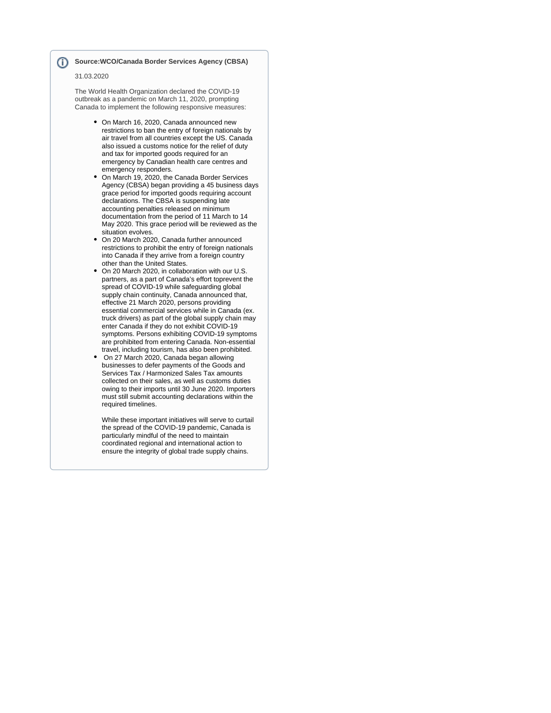#### **Source:WCO/Canada Border Services Agency (CBSA)** (i)

31.03.2020

The World Health Organization declared the COVID-19 outbreak as a pandemic on March 11, 2020, prompting Canada to implement the following responsive measures:

- On March 16, 2020, Canada announced new restrictions to ban the entry of foreign nationals by air travel from all countries except the US. Canada also issued a customs notice for the relief of duty and tax for imported goods required for an emergency by Canadian health care centres and emergency responders.
- On March 19, 2020, the Canada Border Services  $\bullet$ Agency (CBSA) began providing a 45 business days grace period for imported goods requiring account declarations. The CBSA is suspending late accounting penalties released on minimum documentation from the period of 11 March to 14 May 2020. This grace period will be reviewed as the situation evolves.
- On 20 March 2020, Canada further announced restrictions to prohibit the entry of foreign nationals into Canada if they arrive from a foreign country other than the United States.
- On 20 March 2020, in collaboration with our U.S. partners, as a part of Canada's effort toprevent the spread of COVID-19 while safeguarding global supply chain continuity, Canada announced that, effective 21 March 2020, persons providing essential commercial services while in Canada (ex. truck drivers) as part of the global supply chain may enter Canada if they do not exhibit COVID-19 symptoms. Persons exhibiting COVID-19 symptoms are prohibited from entering Canada. Non-essential travel, including tourism, has also been prohibited.
- On 27 March 2020, Canada began allowing businesses to defer payments of the Goods and Services Tax / Harmonized Sales Tax amounts collected on their sales, as well as customs duties owing to their imports until 30 June 2020. Importers must still submit accounting declarations within the required timelines.

While these important initiatives will serve to curtail the spread of the COVID-19 pandemic, Canada is particularly mindful of the need to maintain coordinated regional and international action to ensure the integrity of global trade supply chains.